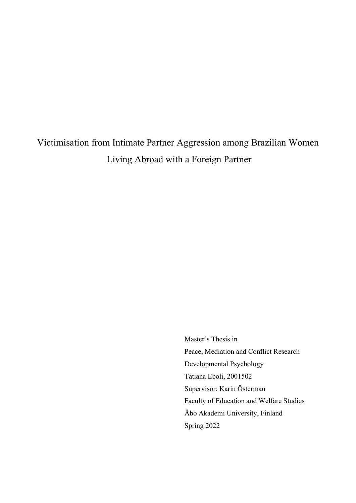# Victimisation from Intimate Partner Aggression among Brazilian Women Living Abroad with a Foreign Partner

Master's Thesis in Peace, Mediation and Conflict Research Developmental Psychology Tatiana Eboli, 2001502 Supervisor: Karin Österman Faculty of Education and Welfare Studies Åbo Akademi University, Finland Spring 2022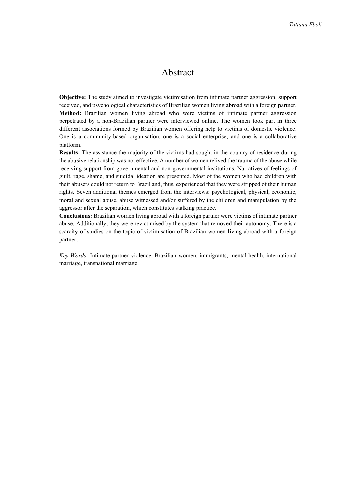# Abstract

**Objective:** The study aimed to investigate victimisation from intimate partner aggression, support received, and psychological characteristics of Brazilian women living abroad with a foreign partner. **Method:** Brazilian women living abroad who were victims of intimate partner aggression perpetrated by a non-Brazilian partner were interviewed online. The women took part in three different associations formed by Brazilian women offering help to victims of domestic violence. One is a community-based organisation, one is a social enterprise, and one is a collaborative platform.

**Results:** The assistance the majority of the victims had sought in the country of residence during the abusive relationship was not effective. A number of women relived the trauma of the abuse while receiving support from governmental and non-governmental institutions. Narratives of feelings of guilt, rage, shame, and suicidal ideation are presented. Most of the women who had children with their abusers could not return to Brazil and, thus, experienced that they were stripped of their human rights. Seven additional themes emerged from the interviews: psychological, physical, economic, moral and sexual abuse, abuse witnessed and/or suffered by the children and manipulation by the aggressor after the separation, which constitutes stalking practice.

**Conclusions:** Brazilian women living abroad with a foreign partner were victims of intimate partner abuse. Additionally, they were revictimised by the system that removed their autonomy. There is a scarcity of studies on the topic of victimisation of Brazilian women living abroad with a foreign partner.

*Key Words:* Intimate partner violence, Brazilian women, immigrants, mental health, international marriage, transnational marriage.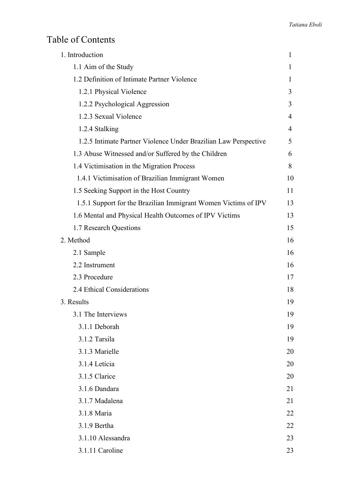# Table of Contents

| 1. Introduction                                                 | 1            |
|-----------------------------------------------------------------|--------------|
| 1.1 Aim of the Study                                            | $\mathbf{I}$ |
| 1.2 Definition of Intimate Partner Violence                     | $\mathbf{I}$ |
| 1.2.1 Physical Violence                                         | 3            |
| 1.2.2 Psychological Aggression                                  | 3            |
| 1.2.3 Sexual Violence                                           | 4            |
| 1.2.4 Stalking                                                  | 4            |
| 1.2.5 Intimate Partner Violence Under Brazilian Law Perspective | 5            |
| 1.3 Abuse Witnessed and/or Suffered by the Children             | 6            |
| 1.4 Victimisation in the Migration Process                      | 8            |
| 1.4.1 Victimisation of Brazilian Immigrant Women                | 10           |
| 1.5 Seeking Support in the Host Country                         | 11           |
| 1.5.1 Support for the Brazilian Immigrant Women Victims of IPV  | 13           |
| 1.6 Mental and Physical Health Outcomes of IPV Victims          | 13           |
| 1.7 Research Questions                                          | 15           |
| 2. Method                                                       | 16           |
| 2.1 Sample                                                      | 16           |
| 2.2 Instrument                                                  | 16           |
| 2.3 Procedure                                                   | 17           |
| 2.4 Ethical Considerations                                      | 18           |
| 3. Results                                                      | 19           |
| 3.1 The Interviews                                              | 19           |
| 3.1.1 Deborah                                                   | 19           |
| 3.1.2 Tarsila                                                   | 19           |
| 3.1.3 Marielle                                                  | 20           |
| 3.1.4 Letícia                                                   | 20           |
| 3.1.5 Clarice                                                   | 20           |
| 3.1.6 Dandara                                                   | 21           |
| 3.1.7 Madalena                                                  | 21           |
| 3.1.8 Maria                                                     | 22           |
| 3.1.9 Bertha                                                    | 22           |
| 3.1.10 Alessandra                                               | 23           |
| 3.1.11 Caroline                                                 | 23           |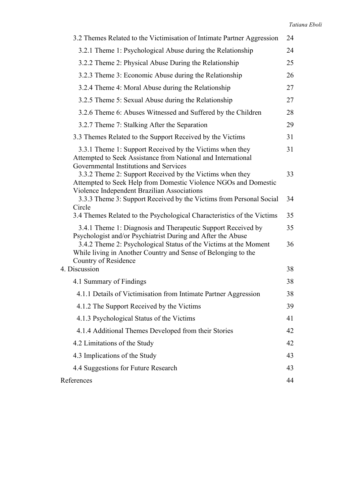| 3.2 Themes Related to the Victimisation of Intimate Partner Aggression                                                                                                                                                   | 24 |
|--------------------------------------------------------------------------------------------------------------------------------------------------------------------------------------------------------------------------|----|
| 3.2.1 Theme 1: Psychological Abuse during the Relationship                                                                                                                                                               | 24 |
| 3.2.2 Theme 2: Physical Abuse During the Relationship                                                                                                                                                                    | 25 |
| 3.2.3 Theme 3: Economic Abuse during the Relationship                                                                                                                                                                    | 26 |
| 3.2.4 Theme 4: Moral Abuse during the Relationship                                                                                                                                                                       | 27 |
| 3.2.5 Theme 5: Sexual Abuse during the Relationship                                                                                                                                                                      | 27 |
| 3.2.6 Theme 6: Abuses Witnessed and Suffered by the Children                                                                                                                                                             | 28 |
| 3.2.7 Theme 7: Stalking After the Separation                                                                                                                                                                             | 29 |
| 3.3 Themes Related to the Support Received by the Victims                                                                                                                                                                | 31 |
| 3.3.1 Theme 1: Support Received by the Victims when they<br>Attempted to Seek Assistance from National and International<br>Governmental Institutions and Services                                                       | 31 |
| 3.3.2 Theme 2: Support Received by the Victims when they<br>Attempted to Seek Help from Domestic Violence NGOs and Domestic<br>Violence Independent Brazilian Associations                                               | 33 |
| 3.3.3 Theme 3: Support Received by the Victims from Personal Social<br>Circle                                                                                                                                            | 34 |
| 3.4 Themes Related to the Psychological Characteristics of the Victims                                                                                                                                                   | 35 |
| 3.4.1 Theme 1: Diagnosis and Therapeutic Support Received by                                                                                                                                                             | 35 |
| Psychologist and/or Psychiatrist During and After the Abuse<br>3.4.2 Theme 2: Psychological Status of the Victims at the Moment<br>While living in Another Country and Sense of Belonging to the<br>Country of Residence | 36 |
| 4. Discussion                                                                                                                                                                                                            | 38 |
| 4.1 Summary of Findings                                                                                                                                                                                                  | 38 |
| 4.1.1 Details of Victimisation from Intimate Partner Aggression                                                                                                                                                          | 38 |
| 4.1.2 The Support Received by the Victims                                                                                                                                                                                | 39 |
| 4.1.3 Psychological Status of the Victims                                                                                                                                                                                | 41 |
| 4.1.4 Additional Themes Developed from their Stories                                                                                                                                                                     | 42 |
| 4.2 Limitations of the Study                                                                                                                                                                                             | 42 |
| 4.3 Implications of the Study                                                                                                                                                                                            | 43 |
| 4.4 Suggestions for Future Research                                                                                                                                                                                      | 43 |
| References                                                                                                                                                                                                               | 44 |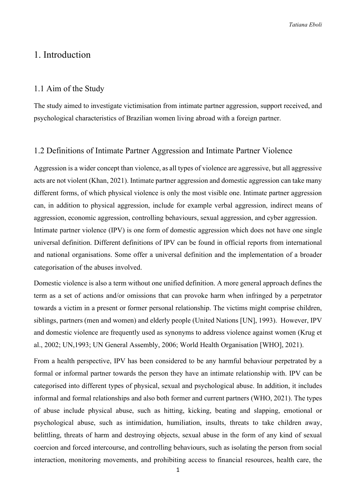*Tatiana Eboli*

# 1. Introduction

#### 1.1 Aim of the Study

The study aimed to investigate victimisation from intimate partner aggression, support received, and psychological characteristics of Brazilian women living abroad with a foreign partner.

### 1.2 Definitions of Intimate Partner Aggression and Intimate Partner Violence

Aggression is a wider concept than violence, as all types of violence are aggressive, but all aggressive acts are not violent (Khan, 2021). Intimate partner aggression and domestic aggression can take many different forms, of which physical violence is only the most visible one. Intimate partner aggression can, in addition to physical aggression, include for example verbal aggression, indirect means of aggression, economic aggression, controlling behaviours, sexual aggression, and cyber aggression. Intimate partner violence (IPV) is one form of domestic aggression which does not have one single universal definition. Different definitions of IPV can be found in official reports from international and national organisations. Some offer a universal definition and the implementation of a broader categorisation of the abuses involved.

Domestic violence is also a term without one unified definition. A more general approach defines the term as a set of actions and/or omissions that can provoke harm when infringed by a perpetrator towards a victim in a present or former personal relationship. The victims might comprise children, siblings, partners (men and women) and elderly people (United Nations [UN], 1993). However, IPV and domestic violence are frequently used as synonyms to address violence against women (Krug et al., 2002; UN,1993; UN General Assembly, 2006; World Health Organisation [WHO], 2021).

From a health perspective, IPV has been considered to be any harmful behaviour perpetrated by a formal or informal partner towards the person they have an intimate relationship with. IPV can be categorised into different types of physical, sexual and psychological abuse. In addition, it includes informal and formal relationships and also both former and current partners (WHO, 2021). The types of abuse include physical abuse, such as hitting, kicking, beating and slapping, emotional or psychological abuse, such as intimidation, humiliation, insults, threats to take children away, belittling, threats of harm and destroying objects, sexual abuse in the form of any kind of sexual coercion and forced intercourse, and controlling behaviours, such as isolating the person from social interaction, monitoring movements, and prohibiting access to financial resources, health care, the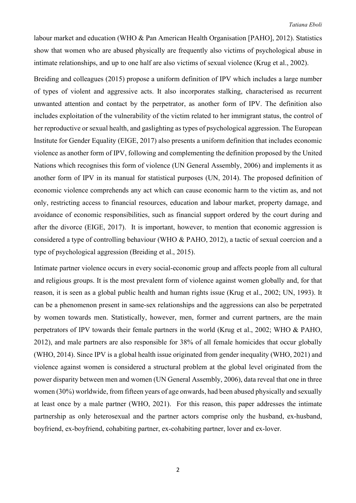labour market and education (WHO & Pan American Health Organisation [PAHO], 2012). Statistics show that women who are abused physically are frequently also victims of psychological abuse in intimate relationships, and up to one half are also victims of sexual violence (Krug et al., 2002).

Breiding and colleagues (2015) propose a uniform definition of IPV which includes a large number of types of violent and aggressive acts. It also incorporates stalking, characterised as recurrent unwanted attention and contact by the perpetrator, as another form of IPV. The definition also includes exploitation of the vulnerability of the victim related to her immigrant status, the control of her reproductive or sexual health, and gaslighting as types of psychological aggression. The European Institute for Gender Equality (EIGE, 2017) also presents a uniform definition that includes economic violence as another form of IPV, following and complementing the definition proposed by the United Nations which recognises this form of violence (UN General Assembly, 2006) and implements it as another form of IPV in its manual for statistical purposes (UN, 2014). The proposed definition of economic violence comprehends any act which can cause economic harm to the victim as, and not only, restricting access to financial resources, education and labour market, property damage, and avoidance of economic responsibilities, such as financial support ordered by the court during and after the divorce (EIGE, 2017). It is important, however, to mention that economic aggression is considered a type of controlling behaviour (WHO & PAHO, 2012), a tactic of sexual coercion and a type of psychological aggression (Breiding et al., 2015).

Intimate partner violence occurs in every social-economic group and affects people from all cultural and religious groups. It is the most prevalent form of violence against women globally and, for that reason, it is seen as a global public health and human rights issue (Krug et al., 2002; UN, 1993). It can be a phenomenon present in same-sex relationships and the aggressions can also be perpetrated by women towards men. Statistically, however, men, former and current partners, are the main perpetrators of IPV towards their female partners in the world (Krug et al., 2002; WHO & PAHO, 2012), and male partners are also responsible for 38% of all female homicides that occur globally (WHO, 2014). Since IPV is a global health issue originated from gender inequality (WHO, 2021) and violence against women is considered a structural problem at the global level originated from the power disparity between men and women (UN General Assembly, 2006), data reveal that one in three women (30%) worldwide, from fifteen years of age onwards, had been abused physically and sexually at least once by a male partner (WHO, 2021). For this reason, this paper addresses the intimate partnership as only heterosexual and the partner actors comprise only the husband, ex-husband, boyfriend, ex-boyfriend, cohabiting partner, ex-cohabiting partner, lover and ex-lover.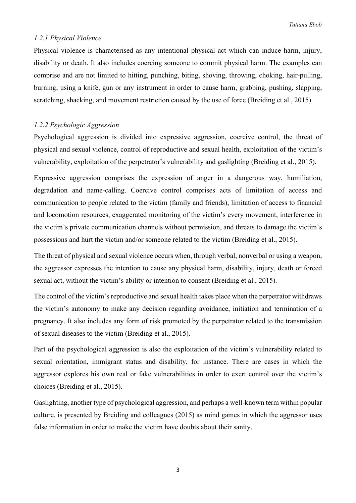#### *1.2.1 Physical Violence*

Physical violence is characterised as any intentional physical act which can induce harm, injury, disability or death. It also includes coercing someone to commit physical harm. The examples can comprise and are not limited to hitting, punching, biting, shoving, throwing, choking, hair-pulling, burning, using a knife, gun or any instrument in order to cause harm, grabbing, pushing, slapping, scratching, shacking, and movement restriction caused by the use of force (Breiding et al., 2015).

#### *1.2.2 Psychologic Aggression*

Psychological aggression is divided into expressive aggression, coercive control, the threat of physical and sexual violence, control of reproductive and sexual health, exploitation of the victim's vulnerability, exploitation of the perpetrator's vulnerability and gaslighting (Breiding et al., 2015).

Expressive aggression comprises the expression of anger in a dangerous way, humiliation, degradation and name-calling. Coercive control comprises acts of limitation of access and communication to people related to the victim (family and friends), limitation of access to financial and locomotion resources, exaggerated monitoring of the victim's every movement, interference in the victim's private communication channels without permission, and threats to damage the victim's possessions and hurt the victim and/or someone related to the victim (Breiding et al., 2015).

The threat of physical and sexual violence occurs when, through verbal, nonverbal or using a weapon, the aggressor expresses the intention to cause any physical harm, disability, injury, death or forced sexual act, without the victim's ability or intention to consent (Breiding et al., 2015).

The control of the victim's reproductive and sexual health takes place when the perpetrator withdraws the victim's autonomy to make any decision regarding avoidance, initiation and termination of a pregnancy. It also includes any form of risk promoted by the perpetrator related to the transmission of sexual diseases to the victim (Breiding et al., 2015).

Part of the psychological aggression is also the exploitation of the victim's vulnerability related to sexual orientation, immigrant status and disability, for instance. There are cases in which the aggressor explores his own real or fake vulnerabilities in order to exert control over the victim's choices (Breiding et al., 2015).

Gaslighting, another type of psychological aggression, and perhaps a well-known term within popular culture, is presented by Breiding and colleagues (2015) as mind games in which the aggressor uses false information in order to make the victim have doubts about their sanity.

3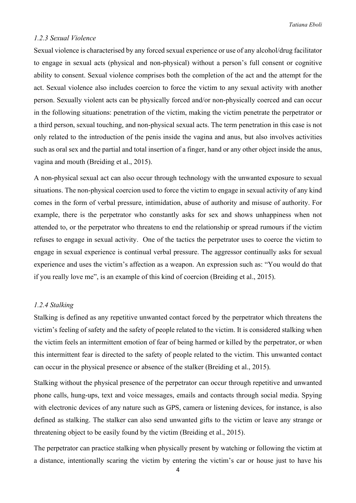#### *1.2.3 Sexual Violence*

Sexual violence is characterised by any forced sexual experience or use of any alcohol/drug facilitator to engage in sexual acts (physical and non-physical) without a person's full consent or cognitive ability to consent. Sexual violence comprises both the completion of the act and the attempt for the act. Sexual violence also includes coercion to force the victim to any sexual activity with another person. Sexually violent acts can be physically forced and/or non-physically coerced and can occur in the following situations: penetration of the victim, making the victim penetrate the perpetrator or a third person, sexual touching, and non-physical sexual acts. The term penetration in this case is not only related to the introduction of the penis inside the vagina and anus, but also involves activities such as oral sex and the partial and total insertion of a finger, hand or any other object inside the anus, vagina and mouth (Breiding et al., 2015).

A non-physical sexual act can also occur through technology with the unwanted exposure to sexual situations. The non-physical coercion used to force the victim to engage in sexual activity of any kind comes in the form of verbal pressure, intimidation, abuse of authority and misuse of authority. For example, there is the perpetrator who constantly asks for sex and shows unhappiness when not attended to, or the perpetrator who threatens to end the relationship or spread rumours if the victim refuses to engage in sexual activity. One of the tactics the perpetrator uses to coerce the victim to engage in sexual experience is continual verbal pressure. The aggressor continually asks for sexual experience and uses the victim's affection as a weapon. An expression such as: "You would do that if you really love me", is an example of this kind of coercion (Breiding et al., 2015).

#### *1.2.4 Stalking*

Stalking is defined as any repetitive unwanted contact forced by the perpetrator which threatens the victim's feeling of safety and the safety of people related to the victim. It is considered stalking when the victim feels an intermittent emotion of fear of being harmed or killed by the perpetrator, or when this intermittent fear is directed to the safety of people related to the victim. This unwanted contact can occur in the physical presence or absence of the stalker (Breiding et al., 2015).

Stalking without the physical presence of the perpetrator can occur through repetitive and unwanted phone calls, hung-ups, text and voice messages, emails and contacts through social media. Spying with electronic devices of any nature such as GPS, camera or listening devices, for instance, is also defined as stalking. The stalker can also send unwanted gifts to the victim or leave any strange or threatening object to be easily found by the victim (Breiding et al., 2015).

The perpetrator can practice stalking when physically present by watching or following the victim at a distance, intentionally scaring the victim by entering the victim's car or house just to have his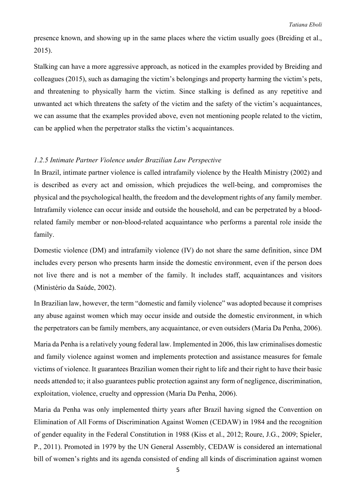presence known, and showing up in the same places where the victim usually goes (Breiding et al., 2015).

Stalking can have a more aggressive approach, as noticed in the examples provided by Breiding and colleagues (2015), such as damaging the victim's belongings and property harming the victim's pets, and threatening to physically harm the victim. Since stalking is defined as any repetitive and unwanted act which threatens the safety of the victim and the safety of the victim's acquaintances, we can assume that the examples provided above, even not mentioning people related to the victim, can be applied when the perpetrator stalks the victim's acquaintances.

#### *1.2.5 Intimate Partner Violence under Brazilian Law Perspective*

In Brazil, intimate partner violence is called intrafamily violence by the Health Ministry (2002) and is described as every act and omission, which prejudices the well-being, and compromises the physical and the psychological health, the freedom and the development rights of any family member. Intrafamily violence can occur inside and outside the household, and can be perpetrated by a bloodrelated family member or non-blood-related acquaintance who performs a parental role inside the family.

Domestic violence (DM) and intrafamily violence (IV) do not share the same definition, since DM includes every person who presents harm inside the domestic environment, even if the person does not live there and is not a member of the family. It includes staff, acquaintances and visitors (Ministério da Saúde, 2002).

In Brazilian law, however, the term "domestic and family violence" was adopted because it comprises any abuse against women which may occur inside and outside the domestic environment, in which the perpetrators can be family members, any acquaintance, or even outsiders (Maria Da Penha, 2006).

Maria da Penha is a relatively young federal law. Implemented in 2006, this law criminalises domestic and family violence against women and implements protection and assistance measures for female victims of violence. It guarantees Brazilian women their right to life and their right to have their basic needs attended to; it also guarantees public protection against any form of negligence, discrimination, exploitation, violence, cruelty and oppression (Maria Da Penha, 2006).

Maria da Penha was only implemented thirty years after Brazil having signed the Convention on Elimination of All Forms of Discrimination Against Women (CEDAW) in 1984 and the recognition of gender equality in the Federal Constitution in 1988 (Kiss et al., 2012; Roure, J.G., 2009; Spieler, P., 2011). Promoted in 1979 by the UN General Assembly, CEDAW is considered an international bill of women's rights and its agenda consisted of ending all kinds of discrimination against women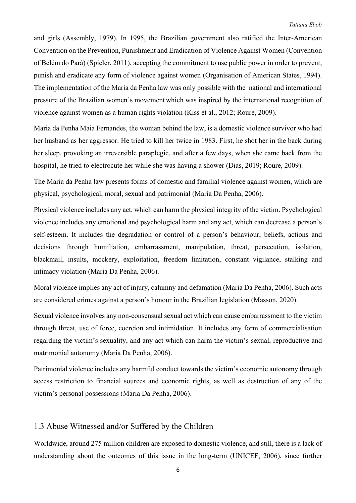and girls (Assembly, 1979). In 1995, the Brazilian government also ratified the Inter-American Convention on the Prevention, Punishment and Eradication of Violence Against Women (Convention of Belém do Pará) (Spieler, 2011), accepting the commitment to use public power in order to prevent, punish and eradicate any form of violence against women (Organisation of American States, 1994). The implementation of the Maria da Penha law was only possible with the national and international pressure of the Brazilian women's movement which was inspired by the international recognition of violence against women as a human rights violation (Kiss et al., 2012; Roure, 2009).

Maria da Penha Maia Fernandes, the woman behind the law, is a domestic violence survivor who had her husband as her aggressor. He tried to kill her twice in 1983. First, he shot her in the back during her sleep, provoking an irreversible paraplegic, and after a few days, when she came back from the hospital, he tried to electrocute her while she was having a shower (Dias, 2019; Roure, 2009).

The Maria da Penha law presents forms of domestic and familial violence against women, which are physical, psychological, moral, sexual and patrimonial (Maria Da Penha, 2006).

Physical violence includes any act, which can harm the physical integrity of the victim. Psychological violence includes any emotional and psychological harm and any act, which can decrease a person's self-esteem. It includes the degradation or control of a person's behaviour, beliefs, actions and decisions through humiliation, embarrassment, manipulation, threat, persecution, isolation, blackmail, insults, mockery, exploitation, freedom limitation, constant vigilance, stalking and intimacy violation (Maria Da Penha, 2006).

Moral violence implies any act of injury, calumny and defamation (Maria Da Penha, 2006). Such acts are considered crimes against a person's honour in the Brazilian legislation (Masson, 2020).

Sexual violence involves any non-consensual sexual act which can cause embarrassment to the victim through threat, use of force, coercion and intimidation. It includes any form of commercialisation regarding the victim's sexuality, and any act which can harm the victim's sexual, reproductive and matrimonial autonomy (Maria Da Penha, 2006).

Patrimonial violence includes any harmful conduct towards the victim's economic autonomy through access restriction to financial sources and economic rights, as well as destruction of any of the victim's personal possessions (Maria Da Penha, 2006).

#### 1.3 Abuse Witnessed and/or Suffered by the Children

Worldwide, around 275 million children are exposed to domestic violence, and still, there is a lack of understanding about the outcomes of this issue in the long-term (UNICEF, 2006), since further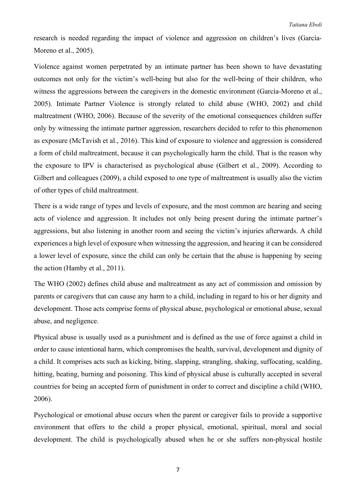research is needed regarding the impact of violence and aggression on children's lives (García-Moreno et al., 2005).

Violence against women perpetrated by an intimate partner has been shown to have devastating outcomes not only for the victim's well-being but also for the well-being of their children, who witness the aggressions between the caregivers in the domestic environment (García-Moreno et al., 2005). Intimate Partner Violence is strongly related to child abuse (WHO, 2002) and child maltreatment (WHO, 2006). Because of the severity of the emotional consequences children suffer only by witnessing the intimate partner aggression, researchers decided to refer to this phenomenon as exposure (McTavish et al., 2016). This kind of exposure to violence and aggression is considered a form of child maltreatment, because it can psychologically harm the child. That is the reason why the exposure to IPV is characterised as psychological abuse (Gilbert et al., 2009). According to Gilbert and colleagues (2009), a child exposed to one type of maltreatment is usually also the victim of other types of child maltreatment.

There is a wide range of types and levels of exposure, and the most common are hearing and seeing acts of violence and aggression. It includes not only being present during the intimate partner's aggressions, but also listening in another room and seeing the victim's injuries afterwards. A child experiences a high level of exposure when witnessing the aggression, and hearing it can be considered a lower level of exposure, since the child can only be certain that the abuse is happening by seeing the action (Hamby et al., 2011).

The WHO (2002) defines child abuse and maltreatment as any act of commission and omission by parents or caregivers that can cause any harm to a child, including in regard to his or her dignity and development. Those acts comprise forms of physical abuse, psychological or emotional abuse, sexual abuse, and negligence.

Physical abuse is usually used as a punishment and is defined as the use of force against a child in order to cause intentional harm, which compromises the health, survival, development and dignity of a child. It comprises acts such as kicking, biting, slapping, strangling, shaking, suffocating, scalding, hitting, beating, burning and poisoning. This kind of physical abuse is culturally accepted in several countries for being an accepted form of punishment in order to correct and discipline a child (WHO, 2006).

Psychological or emotional abuse occurs when the parent or caregiver fails to provide a supportive environment that offers to the child a proper physical, emotional, spiritual, moral and social development. The child is psychologically abused when he or she suffers non-physical hostile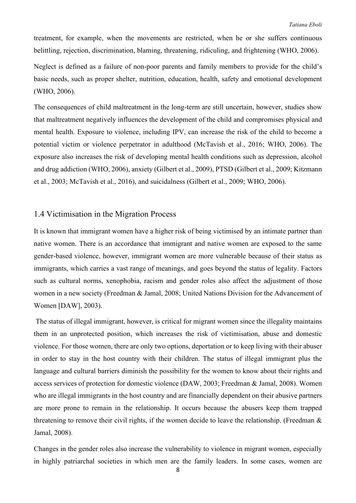treatment, for example, when the movements are restricted, when he or she suffers continuous belittling, rejection, discrimination, blaming, threatening, ridiculing, and frightening (WHO, 2006).

Neglect is defined as a failure of non-poor parents and family members to provide for the child's basic needs, such as proper shelter, nutrition, education, health, safety and emotional development (WHO, 2006).

The consequences of child maltreatment in the long-term are still uncertain, however, studies show that maltreatment negatively influences the development of the child and compromises physical and mental health. Exposure to violence, including IPV, can increase the risk of the child to become a potential victim or violence perpetrator in adulthood (McTavish et al., 2016; WHO, 2006). The exposure also increases the risk of developing mental health conditions such as depression, alcohol and drug addiction (WHO, 2006), anxiety (Gilbert et al., 2009), PTSD (Gilbert et al., 2009; Kitzmann et al., 2003; McTavish et al., 2016), and suicidalness (Gilbert et al., 2009; WHO, 2006).

# 1.4 Victimisation in the Migration Process

It is known that immigrant women have a higher risk of being victimised by an intimate partner than native women. There is an accordance that immigrant and native women are exposed to the same gender-based violence, however, immigrant women are more vulnerable because of their status as immigrants, which carries a vast range of meanings, and goes beyond the status of legality. Factors such as cultural norms, xenophobia, racism and gender roles also affect the adjustment of those women in a new society (Freedman & Jamal, 2008; United Nations Division for the Advancement of Women [DAW], 2003).

The status of illegal immigrant, however, is critical for migrant women since the illegality maintains them in an unprotected position, which increases the risk of victimisation, abuse and domestic violence. For those women, there are only two options, deportation or to keep living with their abuser in order to stay in the host country with their children. The status of illegal immigrant plus the language and cultural barriers diminish the possibility for the women to know about their rights and access services of protection for domestic violence (DAW, 2003; Freedman & Jamal, 2008). Women who are illegal immigrants in the host country and are financially dependent on their abusive partners are more prone to remain in the relationship. It occurs because the abusers keep them trapped threatening to remove their civil rights, if the women decide to leave the relationship. (Freedman & Jamal, 2008).

Changes in the gender roles also increase the vulnerability to violence in migrant women, especially in highly patriarchal societies in which men are the family leaders. In some cases, women are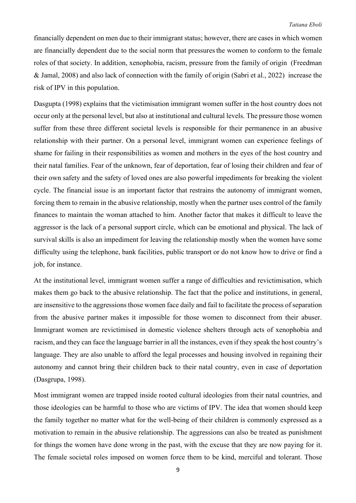financially dependent on men due to their immigrant status; however, there are cases in which women are financially dependent due to the social norm that pressuresthe women to conform to the female roles of that society. In addition, xenophobia, racism, pressure from the family of origin (Freedman & Jamal, 2008) and also lack of connection with the family of origin (Sabri et al., 2022) increase the risk of IPV in this population.

Dasgupta (1998) explains that the victimisation immigrant women suffer in the host country does not occur only at the personal level, but also at institutional and cultural levels. The pressure those women suffer from these three different societal levels is responsible for their permanence in an abusive relationship with their partner. On a personal level, immigrant women can experience feelings of shame for failing in their responsibilities as women and mothers in the eyes of the host country and their natal families. Fear of the unknown, fear of deportation, fear of losing their children and fear of their own safety and the safety of loved ones are also powerful impediments for breaking the violent cycle. The financial issue is an important factor that restrains the autonomy of immigrant women, forcing them to remain in the abusive relationship, mostly when the partner uses control of the family finances to maintain the woman attached to him. Another factor that makes it difficult to leave the aggressor is the lack of a personal support circle, which can be emotional and physical. The lack of survival skills is also an impediment for leaving the relationship mostly when the women have some difficulty using the telephone, bank facilities, public transport or do not know how to drive or find a job, for instance.

At the institutional level, immigrant women suffer a range of difficulties and revictimisation, which makes them go back to the abusive relationship. The fact that the police and institutions, in general, are insensitive to the aggressions those women face daily and fail to facilitate the process of separation from the abusive partner makes it impossible for those women to disconnect from their abuser. Immigrant women are revictimised in domestic violence shelters through acts of xenophobia and racism, and they can face the language barrier in all the instances, even if they speak the host country's language. They are also unable to afford the legal processes and housing involved in regaining their autonomy and cannot bring their children back to their natal country, even in case of deportation (Dasgrupa, 1998).

Most immigrant women are trapped inside rooted cultural ideologies from their natal countries, and those ideologies can be harmful to those who are victims of IPV. The idea that women should keep the family together no matter what for the well-being of their children is commonly expressed as a motivation to remain in the abusive relationship. The aggressions can also be treated as punishment for things the women have done wrong in the past, with the excuse that they are now paying for it. The female societal roles imposed on women force them to be kind, merciful and tolerant. Those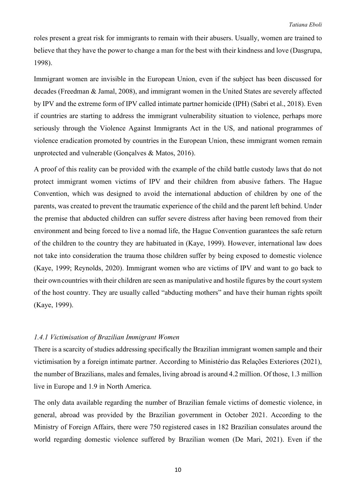roles present a great risk for immigrants to remain with their abusers. Usually, women are trained to believe that they have the power to change a man for the best with their kindness and love (Dasgrupa, 1998).

Immigrant women are invisible in the European Union, even if the subject has been discussed for decades (Freedman & Jamal, 2008), and immigrant women in the United States are severely affected by IPV and the extreme form of IPV called intimate partner homicide (IPH) (Sabri et al., 2018). Even if countries are starting to address the immigrant vulnerability situation to violence, perhaps more seriously through the Violence Against Immigrants Act in the US, and national programmes of violence eradication promoted by countries in the European Union, these immigrant women remain unprotected and vulnerable (Gonçalves & Matos, 2016).

A proof of this reality can be provided with the example of the child battle custody laws that do not protect immigrant women victims of IPV and their children from abusive fathers. The Hague Convention, which was designed to avoid the international abduction of children by one of the parents, was created to prevent the traumatic experience of the child and the parent left behind. Under the premise that abducted children can suffer severe distress after having been removed from their environment and being forced to live a nomad life, the Hague Convention guarantees the safe return of the children to the country they are habituated in (Kaye, 1999). However, international law does not take into consideration the trauma those children suffer by being exposed to domestic violence (Kaye, 1999; Reynolds, 2020). Immigrant women who are victims of IPV and want to go back to their owncountries with their children are seen as manipulative and hostile figures by the court system of the host country. They are usually called "abducting mothers" and have their human rights spoilt (Kaye, 1999).

#### *1.4.1 Victimisation of Brazilian Immigrant Women*

There is a scarcity of studies addressing specifically the Brazilian immigrant women sample and their victimisation by a foreign intimate partner. According to Ministério das Relações Exteriores (2021), the number of Brazilians, males and females, living abroad is around 4.2 million. Of those, 1.3 million live in Europe and 1.9 in North America.

The only data available regarding the number of Brazilian female victims of domestic violence, in general, abroad was provided by the Brazilian government in October 2021. According to the Ministry of Foreign Affairs, there were 750 registered cases in 182 Brazilian consulates around the world regarding domestic violence suffered by Brazilian women (De Mari, 2021). Even if the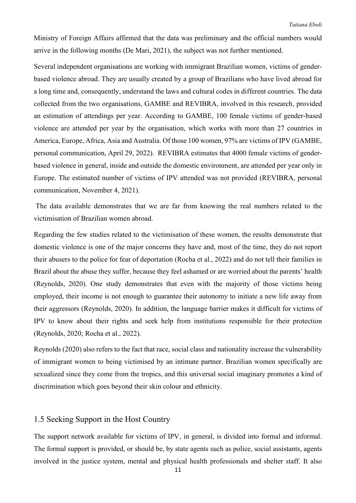Ministry of Foreign Affairs affirmed that the data was preliminary and the official numbers would arrive in the following months (De Mari, 2021), the subject was not further mentioned.

Several independent organisations are working with immigrant Brazilian women, victims of genderbased violence abroad. They are usually created by a group of Brazilians who have lived abroad for a long time and, consequently, understand the laws and cultural codes in different countries. The data collected from the two organisations, GAMBE and REVIBRA, involved in this research, provided an estimation of attendings per year. According to GAMBE, 100 female victims of gender-based violence are attended per year by the organisation, which works with more than 27 countries in America, Europe, Africa, Asia and Australia. Of those 100 women, 97% are victims of IPV (GAMBE, personal communication, April 29, 2022). REVIBRA estimates that 4000 female victims of genderbased violence in general, inside and outside the domestic environment, are attended per year only in Europe. The estimated number of victims of IPV attended was not provided (REVIBRA, personal communication, November 4, 2021).

The data available demonstrates that we are far from knowing the real numbers related to the victimisation of Brazilian women abroad.

Regarding the few studies related to the victimisation of these women, the results demonstrate that domestic violence is one of the major concerns they have and, most of the time, they do not report their abusers to the police for fear of deportation (Rocha et al., 2022) and do not tell their families in Brazil about the abuse they suffer, because they feel ashamed or are worried about the parents' health (Reynolds, 2020). One study demonstrates that even with the majority of those victims being employed, their income is not enough to guarantee their autonomy to initiate a new life away from their aggressors (Reynolds, 2020). In addition, the language barrier makes it difficult for victims of IPV to know about their rights and seek help from institutions responsible for their protection (Reynolds, 2020; Rocha et al., 2022).

Reynolds (2020) also refers to the fact that race, social class and nationality increase the vulnerability of immigrant women to being victimised by an intimate partner. Brazilian women specifically are sexualized since they come from the tropics, and this universal social imaginary promotes a kind of discrimination which goes beyond their skin colour and ethnicity.

# 1.5 Seeking Support in the Host Country

The support network available for victims of IPV, in general, is divided into formal and informal. The formal support is provided, or should be, by state agents such as police, social assistants, agents involved in the justice system, mental and physical health professionals and shelter staff. It also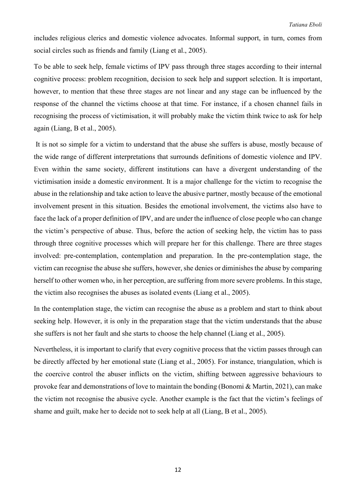includes religious clerics and domestic violence advocates. Informal support, in turn, comes from social circles such as friends and family (Liang et al., 2005).

To be able to seek help, female victims of IPV pass through three stages according to their internal cognitive process: problem recognition, decision to seek help and support selection. It is important, however, to mention that these three stages are not linear and any stage can be influenced by the response of the channel the victims choose at that time. For instance, if a chosen channel fails in recognising the process of victimisation, it will probably make the victim think twice to ask for help again (Liang, B et al., 2005).

It is not so simple for a victim to understand that the abuse she suffers is abuse, mostly because of the wide range of different interpretations that surrounds definitions of domestic violence and IPV. Even within the same society, different institutions can have a divergent understanding of the victimisation inside a domestic environment. It is a major challenge for the victim to recognise the abuse in the relationship and take action to leave the abusive partner, mostly because of the emotional involvement present in this situation. Besides the emotional involvement, the victims also have to face the lack of a proper definition of IPV, and are under the influence of close people who can change the victim's perspective of abuse. Thus, before the action of seeking help, the victim has to pass through three cognitive processes which will prepare her for this challenge. There are three stages involved: pre-contemplation, contemplation and preparation. In the pre-contemplation stage, the victim can recognise the abuse she suffers, however, she denies or diminishes the abuse by comparing herself to other women who, in her perception, are suffering from more severe problems. In this stage, the victim also recognises the abuses as isolated events (Liang et al., 2005).

In the contemplation stage, the victim can recognise the abuse as a problem and start to think about seeking help. However, it is only in the preparation stage that the victim understands that the abuse she suffers is not her fault and she starts to choose the help channel (Liang et al., 2005).

Nevertheless, it is important to clarify that every cognitive process that the victim passes through can be directly affected by her emotional state (Liang et al., 2005). For instance, triangulation, which is the coercive control the abuser inflicts on the victim, shifting between aggressive behaviours to provoke fear and demonstrations of love to maintain the bonding (Bonomi & Martin, 2021), can make the victim not recognise the abusive cycle. Another example is the fact that the victim's feelings of shame and guilt, make her to decide not to seek help at all (Liang, B et al., 2005).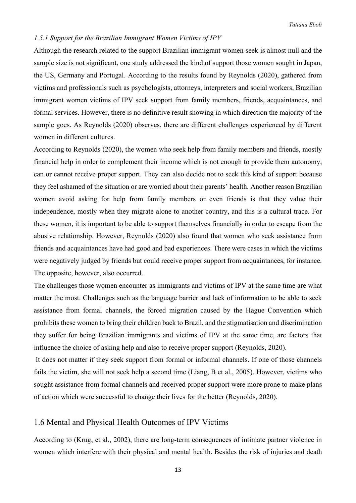#### *1.5.1 Support for the Brazilian Immigrant Women Victims of IPV*

Although the research related to the support Brazilian immigrant women seek is almost null and the sample size is not significant, one study addressed the kind of support those women sought in Japan, the US, Germany and Portugal. According to the results found by Reynolds (2020), gathered from victims and professionals such as psychologists, attorneys, interpreters and social workers, Brazilian immigrant women victims of IPV seek support from family members, friends, acquaintances, and formal services. However, there is no definitive result showing in which direction the majority of the sample goes. As Reynolds (2020) observes, there are different challenges experienced by different women in different cultures.

According to Reynolds (2020), the women who seek help from family members and friends, mostly financial help in order to complement their income which is not enough to provide them autonomy, can or cannot receive proper support. They can also decide not to seek this kind of support because they feel ashamed of the situation or are worried about their parents' health. Another reason Brazilian women avoid asking for help from family members or even friends is that they value their independence, mostly when they migrate alone to another country, and this is a cultural trace. For these women, it is important to be able to support themselves financially in order to escape from the abusive relationship. However, Reynolds (2020) also found that women who seek assistance from friends and acquaintances have had good and bad experiences. There were cases in which the victims were negatively judged by friends but could receive proper support from acquaintances, for instance. The opposite, however, also occurred.

The challenges those women encounter as immigrants and victims of IPV at the same time are what matter the most. Challenges such as the language barrier and lack of information to be able to seek assistance from formal channels, the forced migration caused by the Hague Convention which prohibits these women to bring their children back to Brazil, and the stigmatisation and discrimination they suffer for being Brazilian immigrants and victims of IPV at the same time, are factors that influence the choice of asking help and also to receive proper support (Reynolds, 2020).

It does not matter if they seek support from formal or informal channels. If one of those channels fails the victim, she will not seek help a second time (Liang, B et al., 2005). However, victims who sought assistance from formal channels and received proper support were more prone to make plans of action which were successful to change their lives for the better (Reynolds, 2020).

# 1.6 Mental and Physical Health Outcomes of IPV Victims

According to (Krug, et al., 2002), there are long-term consequences of intimate partner violence in women which interfere with their physical and mental health. Besides the risk of injuries and death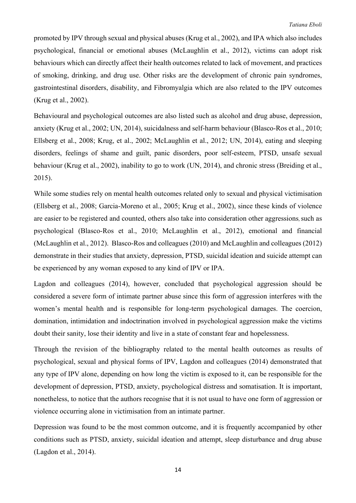promoted by IPV through sexual and physical abuses (Krug et al., 2002), and IPA which also includes psychological, financial or emotional abuses (McLaughlin et al., 2012), victims can adopt risk behaviours which can directly affect their health outcomes related to lack of movement, and practices of smoking, drinking, and drug use. Other risks are the development of chronic pain syndromes, gastrointestinal disorders, disability, and Fibromyalgia which are also related to the IPV outcomes (Krug et al., 2002).

Behavioural and psychological outcomes are also listed such as alcohol and drug abuse, depression, anxiety (Krug et al., 2002; UN, 2014), suicidalness and self-harm behaviour (Blasco-Ros et al., 2010; Ellsberg et al., 2008; Krug, et al., 2002; McLaughlin et al., 2012; UN, 2014), eating and sleeping disorders, feelings of shame and guilt, panic disorders, poor self-esteem, PTSD, unsafe sexual behaviour (Krug et al., 2002), inability to go to work (UN, 2014), and chronic stress (Breiding et al., 2015).

While some studies rely on mental health outcomes related only to sexual and physical victimisation (Ellsberg et al., 2008; Garcia-Moreno et al., 2005; Krug et al., 2002), since these kinds of violence are easier to be registered and counted, others also take into consideration other aggressions, such as psychological (Blasco-Ros et al., 2010; McLaughlin et al., 2012), emotional and financial (McLaughlin et al., 2012). Blasco-Ros and colleagues (2010) and McLaughlin and colleagues (2012) demonstrate in their studies that anxiety, depression, PTSD, suicidal ideation and suicide attempt can be experienced by any woman exposed to any kind of IPV or IPA.

Lagdon and colleagues (2014), however, concluded that psychological aggression should be considered a severe form of intimate partner abuse since this form of aggression interferes with the women's mental health and is responsible for long-term psychological damages. The coercion, domination, intimidation and indoctrination involved in psychological aggression make the victims doubt their sanity, lose their identity and live in a state of constant fear and hopelessness.

Through the revision of the bibliography related to the mental health outcomes as results of psychological, sexual and physical forms of IPV, Lagdon and colleagues (2014) demonstrated that any type of IPV alone, depending on how long the victim is exposed to it, can be responsible for the development of depression, PTSD, anxiety, psychological distress and somatisation. It is important, nonetheless, to notice that the authors recognise that it is not usual to have one form of aggression or violence occurring alone in victimisation from an intimate partner.

Depression was found to be the most common outcome, and it is frequently accompanied by other conditions such as PTSD, anxiety, suicidal ideation and attempt, sleep disturbance and drug abuse (Lagdon et al., 2014).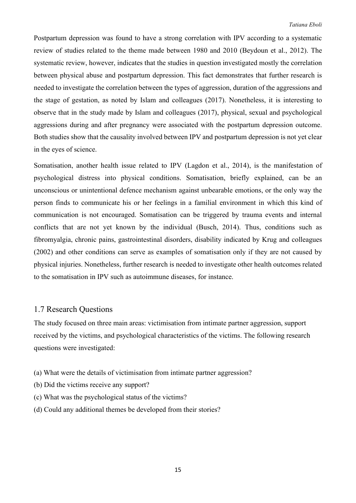Postpartum depression was found to have a strong correlation with IPV according to a systematic review of studies related to the theme made between 1980 and 2010 (Beydoun et al., 2012). The systematic review, however, indicates that the studies in question investigated mostly the correlation between physical abuse and postpartum depression. This fact demonstrates that further research is needed to investigate the correlation between the types of aggression, duration of the aggressions and the stage of gestation, as noted by Islam and colleagues (2017). Nonetheless, it is interesting to observe that in the study made by Islam and colleagues (2017), physical, sexual and psychological aggressions during and after pregnancy were associated with the postpartum depression outcome. Both studies show that the causality involved between IPV and postpartum depression is not yet clear in the eyes of science.

Somatisation, another health issue related to IPV (Lagdon et al., 2014), is the manifestation of psychological distress into physical conditions. Somatisation, briefly explained, can be an unconscious or unintentional defence mechanism against unbearable emotions, or the only way the person finds to communicate his or her feelings in a familial environment in which this kind of communication is not encouraged. Somatisation can be triggered by trauma events and internal conflicts that are not yet known by the individual (Busch, 2014). Thus, conditions such as fibromyalgia, chronic pains, gastrointestinal disorders, disability indicated by Krug and colleagues (2002) and other conditions can serve as examples of somatisation only if they are not caused by physical injuries. Nonetheless, further research is needed to investigate other health outcomes related to the somatisation in IPV such as autoimmune diseases, for instance.

### 1.7 Research Questions

The study focused on three main areas: victimisation from intimate partner aggression, support received by the victims, and psychological characteristics of the victims. The following research questions were investigated:

- (a) What were the details of victimisation from intimate partner aggression?
- (b) Did the victims receive any support?
- (c) What was the psychological status of the victims?
- (d) Could any additional themes be developed from their stories?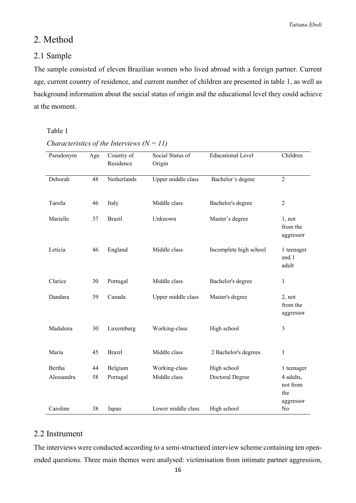# 2. Method

### 2.1 Sample

The sample consisted of eleven Brazilian women who lived abroad with a foreign partner. Current age, current country of residence, and current number of children are presented in table 1, as well as background information about the social status of origin and the educational level they could achieve at the moment.

#### Table 1

| Pseudonym  | Age | Country of<br>Residence | Social Status of<br>Origin | <b>Educational Level</b> | Children                                  |
|------------|-----|-------------------------|----------------------------|--------------------------|-------------------------------------------|
| Deborah    | 48  | Netherlands             | Upper middle class         | Bachelor's degree        | $\overline{2}$                            |
| Tarsila    | 46  | Italy                   | Middle class               | Bachelor's degree        | $\overline{2}$                            |
| Marielle   | 37  | <b>Brazil</b>           | Unknown                    | Master's degree          | 1, not<br>from the<br>aggressor           |
| Letícia    | 46  | England                 | Middle class               | Incomplete high school   | 1 teenager<br>and 1<br>adult              |
| Clarice    | 30  | Portugal                | Middle class               | Bachelor's degree        | $\mathbf{1}$                              |
| Dandara    | 39  | Canada                  | Upper middle class         | Master's degree          | 2, not<br>from the<br>aggressor           |
| Madalena   | 30  | Luxemburg               | Working-class              | High school              | 3                                         |
| Maria      | 45  | <b>Brazil</b>           | Middle class               | 2 Bachelor's degrees     | 1                                         |
| Bertha     | 44  | Belgium                 | Working-class              | High school              | 1 teenager                                |
| Alessandra | 58  | Portugal                | Middle class               | Doctoral Degree          | 4 adults,<br>not from<br>the<br>aggressor |
| Caroline   | 38  | Japan                   | Lower middle class         | High school              | No                                        |

### *Characteristics of the Interviews (N = 11)*

# 2.2 Instrument

The interviews were conducted according to a semi-structured interview scheme containing ten openended questions. Three main themes were analysed: victimisation from intimate partner aggression,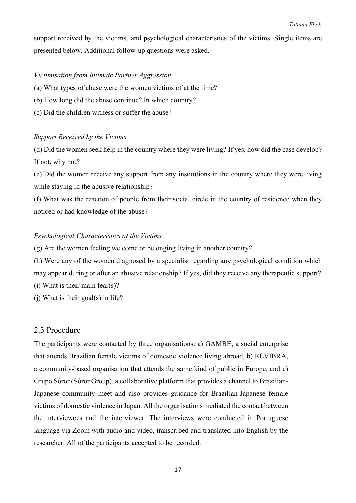support received by the victims, and psychological characteristics of the victims. Single items are presented below. Additional follow-up questions were asked.

#### *Victimisation from Intimate Partner Aggression*

- (a) What types of abuse were the women victims of at the time?
- (b) How long did the abuse continue? In which country?
- (c) Did the children witness or suffer the abuse?

#### *Support Received by the Victims*

(d) Did the women seek help in the country where they were living? If yes, how did the case develop? If not, why not?

(e) Did the women receive any support from any institutions in the country where they were living while staying in the abusive relationship?

(f) What was the reaction of people from their social circle in the country of residence when they noticed or had knowledge of the abuse?

#### *Psychological Characteristics of the Victims*

(g) Are the women feeling welcome or belonging living in another country?

(h) Were any of the women diagnosed by a specialist regarding any psychological condition which may appear during or after an abusive relationship? If yes, did they receive any therapeutic support?

(i) What is their main fear(s)?

(j) What is their goal(s) in life?

#### 2.3 Procedure

The participants were contacted by three organisations: a) GAMBE, a social enterprise that attends Brazilian female victims of domestic violence living abroad, b) REVIBRA, a community-based organisation that attends the same kind of public in Europe, and c) Grupo Sóror (Sóror Group), a collaborative platform that provides a channel to Brazilian-Japanese community meet and also provides guidance for Brazilian-Japanese female victims of domestic violence in Japan. All the organisations mediated the contact between the interviewees and the interviewer. The interviews were conducted in Portuguese language via Zoom with audio and video, transcribed and translated into English by the researcher. All of the participants accepted to be recorded.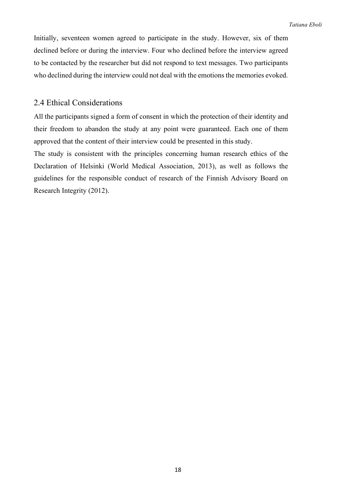Initially, seventeen women agreed to participate in the study. However, six of them declined before or during the interview. Four who declined before the interview agreed to be contacted by the researcher but did not respond to text messages. Two participants who declined during the interview could not deal with the emotions the memories evoked.

### 2.4 Ethical Considerations

All the participants signed a form of consent in which the protection of their identity and their freedom to abandon the study at any point were guaranteed. Each one of them approved that the content of their interview could be presented in this study.

The study is consistent with the principles concerning human research ethics of the Declaration of Helsinki (World Medical Association, 2013), as well as follows the guidelines for the responsible conduct of research of the Finnish Advisory Board on Research Integrity (2012).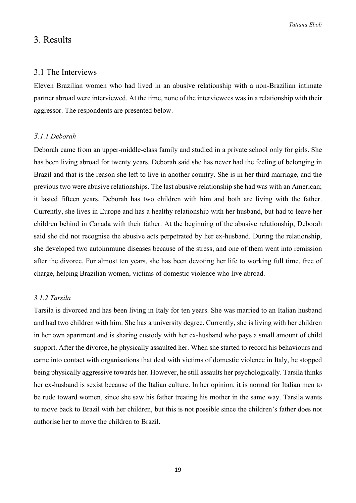*Tatiana Eboli*

# 3. Results

#### 3.1 The Interviews

Eleven Brazilian women who had lived in an abusive relationship with a non-Brazilian intimate partner abroad were interviewed. At the time, none of the interviewees was in a relationship with their aggressor. The respondents are presented below.

#### *3.1.1 Deborah*

Deborah came from an upper-middle-class family and studied in a private school only for girls. She has been living abroad for twenty years. Deborah said she has never had the feeling of belonging in Brazil and that is the reason she left to live in another country. She is in her third marriage, and the previous two were abusive relationships. The last abusive relationship she had was with an American; it lasted fifteen years. Deborah has two children with him and both are living with the father. Currently, she lives in Europe and has a healthy relationship with her husband, but had to leave her children behind in Canada with their father. At the beginning of the abusive relationship, Deborah said she did not recognise the abusive acts perpetrated by her ex-husband. During the relationship, she developed two autoimmune diseases because of the stress, and one of them went into remission after the divorce. For almost ten years, she has been devoting her life to working full time, free of charge, helping Brazilian women, victims of domestic violence who live abroad.

#### *3.1.2 Tarsila*

Tarsila is divorced and has been living in Italy for ten years. She was married to an Italian husband and had two children with him. She has a university degree. Currently, she is living with her children in her own apartment and is sharing custody with her ex-husband who pays a small amount of child support. After the divorce, he physically assaulted her. When she started to record his behaviours and came into contact with organisations that deal with victims of domestic violence in Italy, he stopped being physically aggressive towards her. However, he still assaults her psychologically. Tarsila thinks her ex-husband is sexist because of the Italian culture. In her opinion, it is normal for Italian men to be rude toward women, since she saw his father treating his mother in the same way. Tarsila wants to move back to Brazil with her children, but this is not possible since the children's father does not authorise her to move the children to Brazil.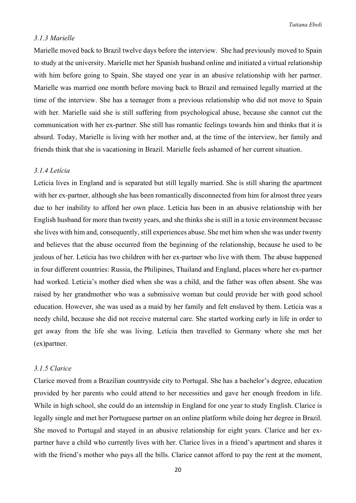### *3.1.3 Marielle*

Marielle moved back to Brazil twelve days before the interview. She had previously moved to Spain to study at the university. Marielle met her Spanish husband online and initiated a virtual relationship with him before going to Spain. She stayed one year in an abusive relationship with her partner. Marielle was married one month before moving back to Brazil and remained legally married at the time of the interview. She has a teenager from a previous relationship who did not move to Spain with her. Marielle said she is still suffering from psychological abuse, because she cannot cut the communication with her ex-partner. She still has romantic feelings towards him and thinks that it is absurd. Today, Marielle is living with her mother and, at the time of the interview, her family and friends think that she is vacationing in Brazil. Marielle feels ashamed of her current situation.

#### *3.1.4 Letícia*

Letícia lives in England and is separated but still legally married. She is still sharing the apartment with her ex-partner, although she has been romantically disconnected from him for almost three years due to her inability to afford her own place. Letícia has been in an abusive relationship with her English husband for more than twenty years, and she thinks she is still in a toxic environment because she lives with him and, consequently, still experiences abuse. She met him when she was under twenty and believes that the abuse occurred from the beginning of the relationship, because he used to be jealous of her. Letícia has two children with her ex-partner who live with them. The abuse happened in four different countries: Russia, the Philipines, Thailand and England, places where her ex-partner had worked. Letícia's mother died when she was a child, and the father was often absent. She was raised by her grandmother who was a submissive woman but could provide her with good school education. However, she was used as a maid by her family and felt enslaved by them. Letícia was a needy child, because she did not receive maternal care. She started working early in life in order to get away from the life she was living. Letícia then travelled to Germany where she met her (ex)partner.

#### *3.1.5 Clarice*

Clarice moved from a Brazilian countryside city to Portugal. She has a bachelor's degree, education provided by her parents who could attend to her necessities and gave her enough freedom in life. While in high school, she could do an internship in England for one year to study English. Clarice is legally single and met her Portuguese partner on an online platform while doing her degree in Brazil. She moved to Portugal and stayed in an abusive relationship for eight years. Clarice and her expartner have a child who currently lives with her. Clarice lives in a friend's apartment and shares it with the friend's mother who pays all the bills. Clarice cannot afford to pay the rent at the moment,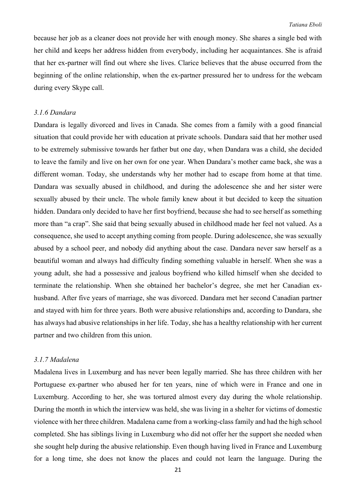because her job as a cleaner does not provide her with enough money. She shares a single bed with her child and keeps her address hidden from everybody, including her acquaintances. She is afraid that her ex-partner will find out where she lives. Clarice believes that the abuse occurred from the beginning of the online relationship, when the ex-partner pressured her to undress for the webcam during every Skype call.

#### *3.1.6 Dandara*

Dandara is legally divorced and lives in Canada. She comes from a family with a good financial situation that could provide her with education at private schools. Dandara said that her mother used to be extremely submissive towards her father but one day, when Dandara was a child, she decided to leave the family and live on her own for one year. When Dandara's mother came back, she was a different woman. Today, she understands why her mother had to escape from home at that time. Dandara was sexually abused in childhood, and during the adolescence she and her sister were sexually abused by their uncle. The whole family knew about it but decided to keep the situation hidden. Dandara only decided to have her first boyfriend, because she had to see herself as something more than "a crap". She said that being sexually abused in childhood made her feel not valued. As a consequence, she used to accept anything coming from people. During adolescence, she was sexually abused by a school peer, and nobody did anything about the case. Dandara never saw herself as a beautiful woman and always had difficulty finding something valuable in herself. When she was a young adult, she had a possessive and jealous boyfriend who killed himself when she decided to terminate the relationship. When she obtained her bachelor's degree, she met her Canadian exhusband. After five years of marriage, she was divorced. Dandara met her second Canadian partner and stayed with him for three years. Both were abusive relationships and, according to Dandara, she has always had abusive relationships in her life. Today, she has a healthy relationship with her current partner and two children from this union.

#### *3.1.7 Madalena*

Madalena lives in Luxemburg and has never been legally married. She has three children with her Portuguese ex-partner who abused her for ten years, nine of which were in France and one in Luxemburg. According to her, she was tortured almost every day during the whole relationship. During the month in which the interview was held, she was living in a shelter for victims of domestic violence with her three children. Madalena came from a working-class family and had the high school completed. She has siblings living in Luxemburg who did not offer her the support she needed when she sought help during the abusive relationship. Even though having lived in France and Luxemburg for a long time, she does not know the places and could not learn the language. During the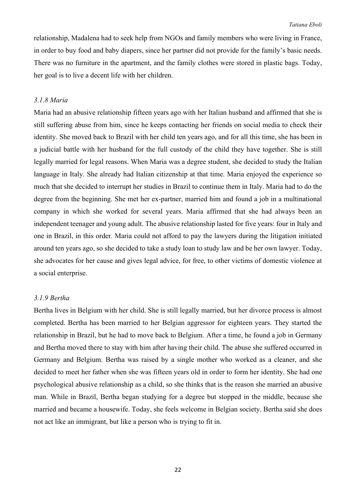relationship, Madalena had to seek help from NGOs and family members who were living in France, in order to buy food and baby diapers, since her partner did not provide for the family's basic needs. There was no furniture in the apartment, and the family clothes were stored in plastic bags. Today, her goal is to live a decent life with her children.

#### *3.1.8 Maria*

Maria had an abusive relationship fifteen years ago with her Italian husband and affirmed that she is still suffering abuse from him, since he keeps contacting her friends on social media to check their identity. She moved back to Brazil with her child ten years ago, and for all this time, she has been in a judicial battle with her husband for the full custody of the child they have together. She is still legally married for legal reasons. When Maria was a degree student, she decided to study the Italian language in Italy. She already had Italian citizenship at that time. Maria enjoyed the experience so much that she decided to interrupt her studies in Brazil to continue them in Italy. Maria had to do the degree from the beginning. She met her ex-partner, married him and found a job in a multinational company in which she worked for several years. Maria affirmed that she had always been an independent teenager and young adult. The abusive relationship lasted for five years: four in Italy and one in Brazil, in this order. Maria could not afford to pay the lawyers during the litigation initiated around ten years ago, so she decided to take a study loan to study law and be her own lawyer. Today, she advocates for her cause and gives legal advice, for free, to other victims of domestic violence at a social enterprise.

#### *3.1.9 Bertha*

Bertha lives in Belgium with her child. She is still legally married, but her divorce process is almost completed. Bertha has been married to her Belgian aggressor for eighteen years. They started the relationship in Brazil, but he had to move back to Belgium. After a time, he found a job in Germany and Bertha moved there to stay with him after having their child. The abuse she suffered occurred in Germany and Belgium. Bertha was raised by a single mother who worked as a cleaner, and she decided to meet her father when she was fifteen years old in order to form her identity. She had one psychological abusive relationship as a child, so she thinks that is the reason she married an abusive man. While in Brazil, Bertha began studying for a degree but stopped in the middle, because she married and became a housewife. Today, she feels welcome in Belgian society. Bertha said she does not act like an immigrant, but like a person who is trying to fit in.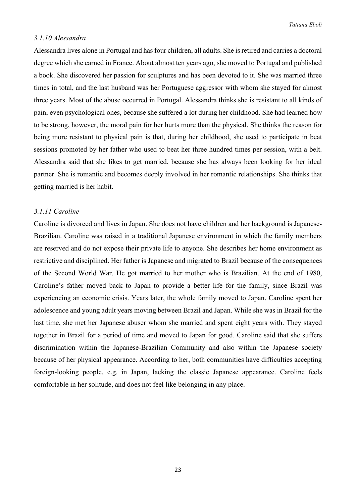#### *3.1.10 Alessandra*

Alessandra lives alone in Portugal and has four children, all adults. She is retired and carries a doctoral degree which she earned in France. About almost ten years ago, she moved to Portugal and published a book. She discovered her passion for sculptures and has been devoted to it. She was married three times in total, and the last husband was her Portuguese aggressor with whom she stayed for almost three years. Most of the abuse occurred in Portugal. Alessandra thinks she is resistant to all kinds of pain, even psychological ones, because she suffered a lot during her childhood. She had learned how to be strong, however, the moral pain for her hurts more than the physical. She thinks the reason for being more resistant to physical pain is that, during her childhood, she used to participate in beat sessions promoted by her father who used to beat her three hundred times per session, with a belt. Alessandra said that she likes to get married, because she has always been looking for her ideal partner. She is romantic and becomes deeply involved in her romantic relationships. She thinks that getting married is her habit.

#### *3.1.11 Caroline*

Caroline is divorced and lives in Japan. She does not have children and her background is Japanese-Brazilian. Caroline was raised in a traditional Japanese environment in which the family members are reserved and do not expose their private life to anyone. She describes her home environment as restrictive and disciplined. Her father is Japanese and migrated to Brazil because of the consequences of the Second World War. He got married to her mother who is Brazilian. At the end of 1980, Caroline's father moved back to Japan to provide a better life for the family, since Brazil was experiencing an economic crisis. Years later, the whole family moved to Japan. Caroline spent her adolescence and young adult years moving between Brazil and Japan. While she was in Brazil for the last time, she met her Japanese abuser whom she married and spent eight years with. They stayed together in Brazil for a period of time and moved to Japan for good. Caroline said that she suffers discrimination within the Japanese-Brazilian Community and also within the Japanese society because of her physical appearance. According to her, both communities have difficulties accepting foreign-looking people, e.g. in Japan, lacking the classic Japanese appearance. Caroline feels comfortable in her solitude, and does not feel like belonging in any place.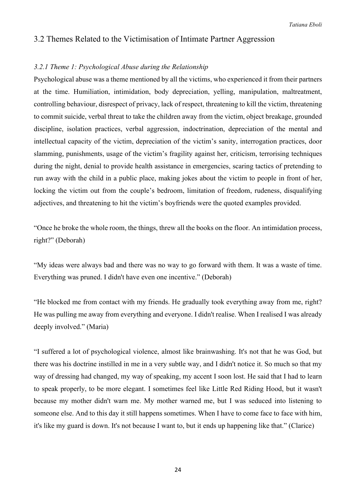# 3.2 Themes Related to the Victimisation of Intimate Partner Aggression

#### *3.2.1 Theme 1: Psychological Abuse during the Relationship*

Psychological abuse was a theme mentioned by all the victims, who experienced it from their partners at the time. Humiliation, intimidation, body depreciation, yelling, manipulation, maltreatment, controlling behaviour, disrespect of privacy, lack of respect, threatening to kill the victim, threatening to commit suicide, verbal threat to take the children away from the victim, object breakage, grounded discipline, isolation practices, verbal aggression, indoctrination, depreciation of the mental and intellectual capacity of the victim, depreciation of the victim's sanity, interrogation practices, door slamming, punishments, usage of the victim's fragility against her, criticism, terrorising techniques during the night, denial to provide health assistance in emergencies, scaring tactics of pretending to run away with the child in a public place, making jokes about the victim to people in front of her, locking the victim out from the couple's bedroom, limitation of freedom, rudeness, disqualifying adjectives, and threatening to hit the victim's boyfriends were the quoted examples provided.

"Once he broke the whole room, the things, threw all the books on the floor. An intimidation process, right?" (Deborah)

"My ideas were always bad and there was no way to go forward with them. It was a waste of time. Everything was pruned. I didn't have even one incentive." (Deborah)

"He blocked me from contact with my friends. He gradually took everything away from me, right? He was pulling me away from everything and everyone. I didn't realise. When I realised I was already deeply involved." (Maria)

"I suffered a lot of psychological violence, almost like brainwashing. It's not that he was God, but there was his doctrine instilled in me in a very subtle way, and I didn't notice it. So much so that my way of dressing had changed, my way of speaking, my accent I soon lost. He said that I had to learn to speak properly, to be more elegant. I sometimes feel like Little Red Riding Hood, but it wasn't because my mother didn't warn me. My mother warned me, but I was seduced into listening to someone else. And to this day it still happens sometimes. When I have to come face to face with him, it's like my guard is down. It's not because I want to, but it ends up happening like that." (Clarice)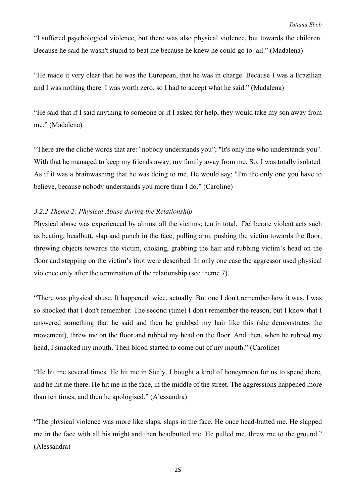"I suffered psychological violence, but there was also physical violence, but towards the children. Because he said he wasn't stupid to beat me because he knew he could go to jail." (Madalena)

"He made it very clear that he was the European, that he was in charge. Because I was a Brazilian and I was nothing there. I was worth zero, so I had to accept what he said." (Madalena)

"He said that if I said anything to someone or if I asked for help, they would take my son away from me." (Madalena)

"There are the cliché words that are: "nobody understands you"; "It's only me who understands you". With that he managed to keep my friends away, my family away from me. So, I was totally isolated. As if it was a brainwashing that he was doing to me. He would say: "I'm the only one you have to believe, because nobody understands you more than I do." (Caroline)

#### *3.2.2 Theme 2: Physical Abuse during the Relationship*

Physical abuse was experienced by almost all the victims; ten in total. Deliberate violent acts such as beating, headbutt, slap and punch in the face, pulling arm, pushing the victim towards the floor, throwing objects towards the victim, choking, grabbing the hair and rubbing victim's head on the floor and stepping on the victim's foot were described. In only one case the aggressor used physical violence only after the termination of the relationship (see theme 7).

"There was physical abuse. It happened twice, actually. But one I don't remember how it was. I was so shocked that I don't remember. The second (time) I don't remember the reason, but I know that I answered something that he said and then he grabbed my hair like this (she demonstrates the movement), threw me on the floor and rubbed my head on the floor. And then, when he rubbed my head, I smacked my mouth. Then blood started to come out of my mouth." (Caroline)

"He hit me several times. He hit me in Sicily. I bought a kind of honeymoon for us to spend there, and he hit me there. He hit me in the face, in the middle of the street. The aggressions happened more than ten times, and then he apologised." (Alessandra)

"The physical violence was more like slaps, slaps in the face. He once head-butted me. He slapped me in the face with all his might and then headbutted me. He pulled me, threw me to the ground." (Alessandra)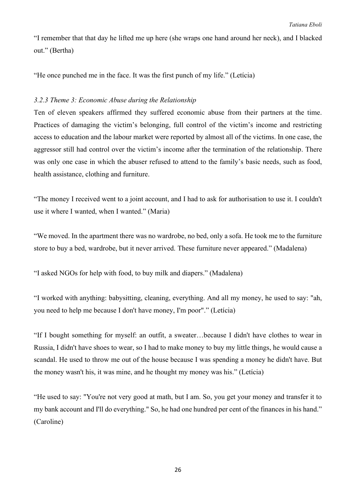"I remember that that day he lifted me up here (she wraps one hand around her neck), and I blacked out." (Bertha)

"He once punched me in the face. It was the first punch of my life." (Letícia)

#### *3.2.3 Theme 3: Economic Abuse during the Relationship*

Ten of eleven speakers affirmed they suffered economic abuse from their partners at the time. Practices of damaging the victim's belonging, full control of the victim's income and restricting access to education and the labour market were reported by almost all of the victims. In one case, the aggressor still had control over the victim's income after the termination of the relationship. There was only one case in which the abuser refused to attend to the family's basic needs, such as food, health assistance, clothing and furniture.

"The money I received went to a joint account, and I had to ask for authorisation to use it. I couldn't use it where I wanted, when I wanted." (Maria)

"We moved. In the apartment there was no wardrobe, no bed, only a sofa. He took me to the furniture store to buy a bed, wardrobe, but it never arrived. These furniture never appeared." (Madalena)

"I asked NGOs for help with food, to buy milk and diapers." (Madalena)

"I worked with anything: babysitting, cleaning, everything. And all my money, he used to say: "ah, you need to help me because I don't have money, I'm poor"." (Letícia)

"If I bought something for myself: an outfit, a sweater…because I didn't have clothes to wear in Russia, I didn't have shoes to wear, so I had to make money to buy my little things, he would cause a scandal. He used to throw me out of the house because I was spending a money he didn't have. But the money wasn't his, it was mine, and he thought my money was his." (Letícia)

"He used to say: "You're not very good at math, but I am. So, you get your money and transfer it to my bank account and I'll do everything." So, he had one hundred per cent of the finances in his hand." (Caroline)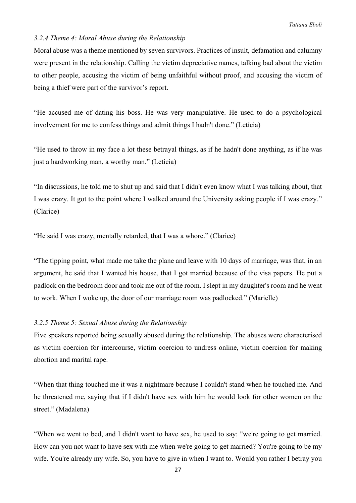#### *3.2.4 Theme 4: Moral Abuse during the Relationship*

Moral abuse was a theme mentioned by seven survivors. Practices of insult, defamation and calumny were present in the relationship. Calling the victim depreciative names, talking bad about the victim to other people, accusing the victim of being unfaithful without proof, and accusing the victim of being a thief were part of the survivor's report.

"He accused me of dating his boss. He was very manipulative. He used to do a psychological involvement for me to confess things and admit things I hadn't done." (Letícia)

"He used to throw in my face a lot these betrayal things, as if he hadn't done anything, as if he was just a hardworking man, a worthy man." (Letícia)

"In discussions, he told me to shut up and said that I didn't even know what I was talking about, that I was crazy. It got to the point where I walked around the University asking people if I was crazy." (Clarice)

"He said I was crazy, mentally retarded, that I was a whore." (Clarice)

"The tipping point, what made me take the plane and leave with 10 days of marriage, was that, in an argument, he said that I wanted his house, that I got married because of the visa papers. He put a padlock on the bedroom door and took me out of the room. I slept in my daughter's room and he went to work. When I woke up, the door of our marriage room was padlocked." (Marielle)

#### *3.2.5 Theme 5: Sexual Abuse during the Relationship*

Five speakers reported being sexually abused during the relationship. The abuses were characterised as victim coercion for intercourse, victim coercion to undress online, victim coercion for making abortion and marital rape.

"When that thing touched me it was a nightmare because I couldn't stand when he touched me. And he threatened me, saying that if I didn't have sex with him he would look for other women on the street." (Madalena)

"When we went to bed, and I didn't want to have sex, he used to say: "we're going to get married. How can you not want to have sex with me when we're going to get married? You're going to be my wife. You're already my wife. So, you have to give in when I want to. Would you rather I betray you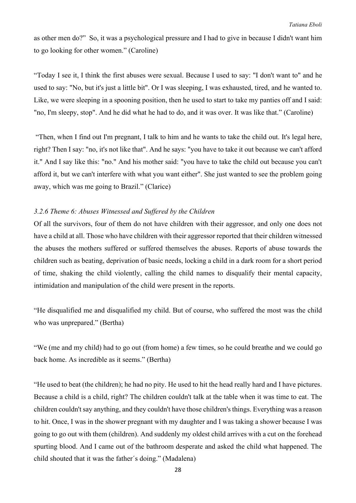as other men do?" So, it was a psychological pressure and I had to give in because I didn't want him to go looking for other women." (Caroline)

"Today I see it, I think the first abuses were sexual. Because I used to say: "I don't want to" and he used to say: "No, but it's just a little bit". Or I was sleeping, I was exhausted, tired, and he wanted to. Like, we were sleeping in a spooning position, then he used to start to take my panties off and I said: "no, I'm sleepy, stop". And he did what he had to do, and it was over. It was like that." (Caroline)

"Then, when I find out I'm pregnant, I talk to him and he wants to take the child out. It's legal here, right? Then I say: "no, it's not like that". And he says: "you have to take it out because we can't afford it." And I say like this: "no." And his mother said: "you have to take the child out because you can't afford it, but we can't interfere with what you want either". She just wanted to see the problem going away, which was me going to Brazil." (Clarice)

# *3.2.6 Theme 6: Abuses Witnessed and Suffered by the Children*

Of all the survivors, four of them do not have children with their aggressor, and only one does not have a child at all. Those who have children with their aggressor reported that their children witnessed the abuses the mothers suffered or suffered themselves the abuses. Reports of abuse towards the children such as beating, deprivation of basic needs, locking a child in a dark room for a short period of time, shaking the child violently, calling the child names to disqualify their mental capacity, intimidation and manipulation of the child were present in the reports.

"He disqualified me and disqualified my child. But of course, who suffered the most was the child who was unprepared." (Bertha)

"We (me and my child) had to go out (from home) a few times, so he could breathe and we could go back home. As incredible as it seems." (Bertha)

"He used to beat (the children); he had no pity. He used to hit the head really hard and I have pictures. Because a child is a child, right? The children couldn't talk at the table when it was time to eat. The children couldn't say anything, and they couldn't have those children's things. Everything was a reason to hit. Once, I was in the shower pregnant with my daughter and I was taking a shower because I was going to go out with them (children). And suddenly my oldest child arrives with a cut on the forehead spurting blood. And I came out of the bathroom desperate and asked the child what happened. The child shouted that it was the father´s doing." (Madalena)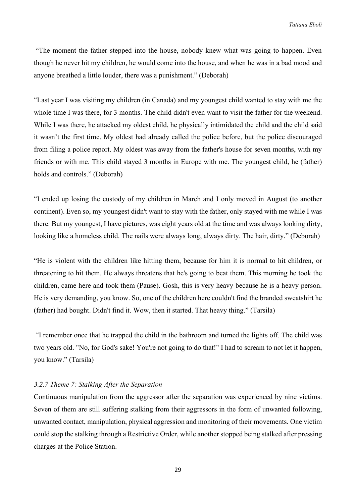"The moment the father stepped into the house, nobody knew what was going to happen. Even though he never hit my children, he would come into the house, and when he was in a bad mood and anyone breathed a little louder, there was a punishment." (Deborah)

"Last year I was visiting my children (in Canada) and my youngest child wanted to stay with me the whole time I was there, for 3 months. The child didn't even want to visit the father for the weekend. While I was there, he attacked my oldest child, he physically intimidated the child and the child said it wasn't the first time. My oldest had already called the police before, but the police discouraged from filing a police report. My oldest was away from the father's house for seven months, with my friends or with me. This child stayed 3 months in Europe with me. The youngest child, he (father) holds and controls." (Deborah)

"I ended up losing the custody of my children in March and I only moved in August (to another continent). Even so, my youngest didn't want to stay with the father, only stayed with me while I was there. But my youngest, I have pictures, was eight years old at the time and was always looking dirty, looking like a homeless child. The nails were always long, always dirty. The hair, dirty." (Deborah)

"He is violent with the children like hitting them, because for him it is normal to hit children, or threatening to hit them. He always threatens that he's going to beat them. This morning he took the children, came here and took them (Pause). Gosh, this is very heavy because he is a heavy person. He is very demanding, you know. So, one of the children here couldn't find the branded sweatshirt he (father) had bought. Didn't find it. Wow, then it started. That heavy thing." (Tarsila)

"I remember once that he trapped the child in the bathroom and turned the lights off. The child was two years old. "No, for God's sake! You're not going to do that!" I had to scream to not let it happen, you know." (Tarsila)

#### *3.2.7 Theme 7: Stalking After the Separation*

Continuous manipulation from the aggressor after the separation was experienced by nine victims. Seven of them are still suffering stalking from their aggressors in the form of unwanted following, unwanted contact, manipulation, physical aggression and monitoring of their movements. One victim could stop the stalking through a Restrictive Order, while another stopped being stalked after pressing charges at the Police Station.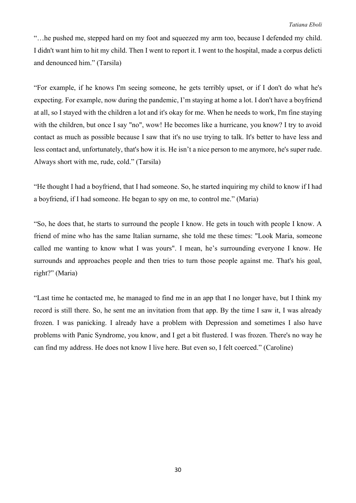"…he pushed me, stepped hard on my foot and squeezed my arm too, because I defended my child. I didn't want him to hit my child. Then I went to report it. I went to the hospital, made a corpus delicti and denounced him." (Tarsila)

"For example, if he knows I'm seeing someone, he gets terribly upset, or if I don't do what he's expecting. For example, now during the pandemic, I'm staying at home a lot. I don't have a boyfriend at all, so I stayed with the children a lot and it's okay for me. When he needs to work, I'm fine staying with the children, but once I say "no", wow! He becomes like a hurricane, you know? I try to avoid contact as much as possible because I saw that it's no use trying to talk. It's better to have less and less contact and, unfortunately, that's how it is. He isn't a nice person to me anymore, he's super rude. Always short with me, rude, cold." (Tarsila)

"He thought I had a boyfriend, that I had someone. So, he started inquiring my child to know if I had a boyfriend, if I had someone. He began to spy on me, to control me." (Maria)

"So, he does that, he starts to surround the people I know. He gets in touch with people I know. A friend of mine who has the same Italian surname, she told me these times: "Look Maria, someone called me wanting to know what I was yours". I mean, he's surrounding everyone I know. He surrounds and approaches people and then tries to turn those people against me. That's his goal, right?" (Maria)

"Last time he contacted me, he managed to find me in an app that I no longer have, but I think my record is still there. So, he sent me an invitation from that app. By the time I saw it, I was already frozen. I was panicking. I already have a problem with Depression and sometimes I also have problems with Panic Syndrome, you know, and I get a bit flustered. I was frozen. There's no way he can find my address. He does not know I live here. But even so, I felt coerced." (Caroline)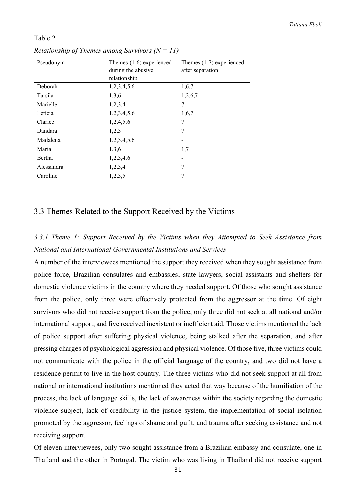#### Table 2

| Pseudonym  | Themes $(1-6)$ experienced | Themes $(1-7)$ experienced |
|------------|----------------------------|----------------------------|
|            | during the abusive         | after separation           |
|            | relationship               |                            |
| Deborah    | 1,2,3,4,5,6                | 1,6,7                      |
| Tarsila    | 1,3,6                      | 1,2,6,7                    |
| Marielle   | 1,2,3,4                    | 7                          |
| Letícia    | 1,2,3,4,5,6                | 1,6,7                      |
| Clarice    | 1,2,4,5,6                  | 7                          |
| Dandara    | 1,2,3                      | 7                          |
| Madalena   | 1,2,3,4,5,6                |                            |
| Maria      | 1,3,6                      | 1,7                        |
| Bertha     | 1,2,3,4,6                  | $\qquad \qquad$            |
| Alessandra | 1,2,3,4                    | 7                          |
| Caroline   | 1,2,3,5                    | 7                          |

*Relationship of Themes among Survivors*  $(N = 11)$ 

### 3.3 Themes Related to the Support Received by the Victims

# *3.3.1 Theme 1: Support Received by the Victims when they Attempted to Seek Assistance from National and International Governmental Institutions and Services*

A number of the interviewees mentioned the support they received when they sought assistance from police force, Brazilian consulates and embassies, state lawyers, social assistants and shelters for domestic violence victims in the country where they needed support. Of those who sought assistance from the police, only three were effectively protected from the aggressor at the time. Of eight survivors who did not receive support from the police, only three did not seek at all national and/or international support, and five received inexistent or inefficient aid. Those victims mentioned the lack of police support after suffering physical violence, being stalked after the separation, and after pressing charges of psychological aggression and physical violence. Of those five, three victims could not communicate with the police in the official language of the country, and two did not have a residence permit to live in the host country. The three victims who did not seek support at all from national or international institutions mentioned they acted that way because of the humiliation of the process, the lack of language skills, the lack of awareness within the society regarding the domestic violence subject, lack of credibility in the justice system, the implementation of social isolation promoted by the aggressor, feelings of shame and guilt, and trauma after seeking assistance and not receiving support.

Of eleven interviewees, only two sought assistance from a Brazilian embassy and consulate, one in Thailand and the other in Portugal. The victim who was living in Thailand did not receive support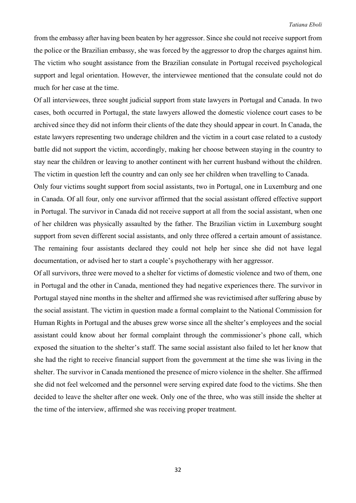from the embassy after having been beaten by her aggressor. Since she could not receive support from the police or the Brazilian embassy, she was forced by the aggressor to drop the charges against him. The victim who sought assistance from the Brazilian consulate in Portugal received psychological support and legal orientation. However, the interviewee mentioned that the consulate could not do much for her case at the time.

Of all interviewees, three sought judicial support from state lawyers in Portugal and Canada. In two cases, both occurred in Portugal, the state lawyers allowed the domestic violence court cases to be archived since they did not inform their clients of the date they should appear in court. In Canada, the estate lawyers representing two underage children and the victim in a court case related to a custody battle did not support the victim, accordingly, making her choose between staying in the country to stay near the children or leaving to another continent with her current husband without the children. The victim in question left the country and can only see her children when travelling to Canada.

Only four victims sought support from social assistants, two in Portugal, one in Luxemburg and one in Canada. Of all four, only one survivor affirmed that the social assistant offered effective support in Portugal. The survivor in Canada did not receive support at all from the social assistant, when one of her children was physically assaulted by the father. The Brazilian victim in Luxemburg sought support from seven different social assistants, and only three offered a certain amount of assistance. The remaining four assistants declared they could not help her since she did not have legal documentation, or advised her to start a couple's psychotherapy with her aggressor.

Of all survivors, three were moved to a shelter for victims of domestic violence and two of them, one in Portugal and the other in Canada, mentioned they had negative experiences there. The survivor in Portugal stayed nine months in the shelter and affirmed she was revictimised after suffering abuse by the social assistant. The victim in question made a formal complaint to the National Commission for Human Rights in Portugal and the abuses grew worse since all the shelter's employees and the social assistant could know about her formal complaint through the commissioner's phone call, which exposed the situation to the shelter's staff. The same social assistant also failed to let her know that she had the right to receive financial support from the government at the time she was living in the shelter. The survivor in Canada mentioned the presence of micro violence in the shelter. She affirmed she did not feel welcomed and the personnel were serving expired date food to the victims. She then decided to leave the shelter after one week. Only one of the three, who was still inside the shelter at the time of the interview, affirmed she was receiving proper treatment.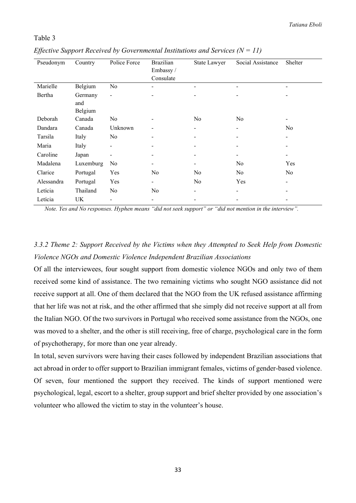#### Table 3

| Pseudonym  | Country   | Police Force                 | <b>Brazilian</b>         | State Lawyer             | Social Assistance        | Shelter                      |
|------------|-----------|------------------------------|--------------------------|--------------------------|--------------------------|------------------------------|
|            |           |                              | Embassy /                |                          |                          |                              |
|            |           |                              | Consulate                |                          |                          |                              |
| Marielle   | Belgium   | N <sub>o</sub>               |                          |                          |                          |                              |
| Bertha     | Germany   | $\overline{\phantom{a}}$     |                          |                          |                          | -                            |
|            | and       |                              |                          |                          |                          |                              |
|            | Belgium   |                              |                          |                          |                          |                              |
| Deborah    | Canada    | No                           |                          | No                       | No                       | -                            |
| Dandara    | Canada    | Unknown                      |                          | $\overline{\phantom{a}}$ | $\overline{\phantom{a}}$ | No                           |
| Tarsila    | Italy     | No                           | $\overline{\phantom{a}}$ |                          |                          | $\overline{\phantom{a}}$     |
| Maria      | Italy     | $\qquad \qquad \blacksquare$ |                          |                          |                          | -                            |
| Caroline   | Japan     |                              | $\overline{\phantom{a}}$ |                          | $\overline{\phantom{0}}$ | $\qquad \qquad \blacksquare$ |
| Madalena   | Luxemburg | No                           |                          |                          | No                       | Yes                          |
| Clarice    | Portugal  | Yes                          | No.                      | No                       | No                       | No                           |
| Alessandra | Portugal  | Yes                          | $\blacksquare$           | No                       | Yes                      | $\qquad \qquad \blacksquare$ |
| Letícia    | Thailand  | N <sub>o</sub>               | N <sub>o</sub>           |                          |                          |                              |
| Letícia    | UK        | -                            |                          |                          |                          |                              |

*Effective Support Received by Governmental Institutions and Services (N = 11)*

*Note. Yes and No responses. Hyphen means "did not seek support" or "did not mention in the interview".*

# *3.3.2 Theme 2: Support Received by the Victims when they Attempted to Seek Help from Domestic Violence NGOs and Domestic Violence Independent Brazilian Associations*

Of all the interviewees, four sought support from domestic violence NGOs and only two of them received some kind of assistance. The two remaining victims who sought NGO assistance did not receive support at all. One of them declared that the NGO from the UK refused assistance affirming that her life was not at risk, and the other affirmed that she simply did not receive support at all from the Italian NGO. Of the two survivors in Portugal who received some assistance from the NGOs, one was moved to a shelter, and the other is still receiving, free of charge, psychological care in the form of psychotherapy, for more than one year already.

In total, seven survivors were having their cases followed by independent Brazilian associations that act abroad in order to offer support to Brazilian immigrant females, victims of gender-based violence. Of seven, four mentioned the support they received. The kinds of support mentioned were psychological, legal, escort to a shelter, group support and brief shelter provided by one association's volunteer who allowed the victim to stay in the volunteer's house.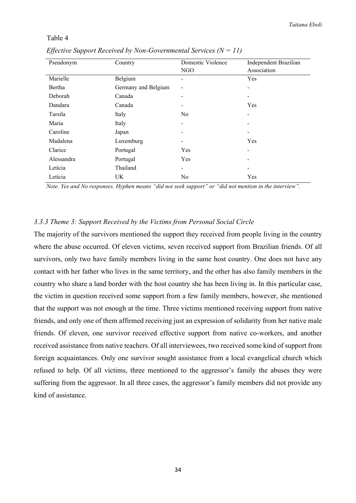#### Table 4

| Pseudonym  | Country             | Domestic Violence        | Independent Brazilian |
|------------|---------------------|--------------------------|-----------------------|
|            |                     | NGO                      | Association           |
| Marielle   | Belgium             |                          | Yes                   |
| Bertha     | Germany and Belgium |                          | -                     |
| Deborah    | Canada              |                          |                       |
| Dandara    | Canada              |                          | <b>Yes</b>            |
| Tarsila    | Italy               | N <sub>0</sub>           | -                     |
| Maria      | Italy               |                          |                       |
| Caroline   | Japan               |                          |                       |
| Madalena   | Luxemburg           | $\overline{\phantom{a}}$ | Yes                   |
| Clarice    | Portugal            | <b>Yes</b>               | -                     |
| Alessandra | Portugal            | Yes                      |                       |
| Letícia    | Thailand            | -                        | -                     |
| Letícia    | UK.                 | N <sub>o</sub>           | Yes                   |

 *Effective Support Received by Non-Governmental Services (N = 11)*

*Note. Yes and No responses. Hyphen means "did not seek support" or "did not mention in the interview".*

#### *3.3.3 Theme 3: Support Received by the Victims from Personal Social Circle*

The majority of the survivors mentioned the support they received from people living in the country where the abuse occurred. Of eleven victims, seven received support from Brazilian friends. Of all survivors, only two have family members living in the same host country. One does not have any contact with her father who lives in the same territory, and the other has also family members in the country who share a land border with the host country she has been living in. In this particular case, the victim in question received some support from a few family members, however, she mentioned that the support was not enough at the time. Three victims mentioned receiving support from native friends, and only one of them affirmed receiving just an expression of solidarity from her native male friends. Of eleven, one survivor received effective support from native co-workers, and another received assistance from native teachers. Of all interviewees, two received some kind of support from foreign acquaintances. Only one survivor sought assistance from a local evangelical church which refused to help. Of all victims, three mentioned to the aggressor's family the abuses they were suffering from the aggressor. In all three cases, the aggressor's family members did not provide any kind of assistance.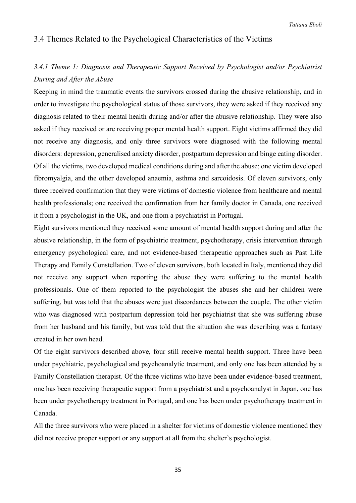# 3.4 Themes Related to the Psychological Characteristics of the Victims

# *3.4.1 Theme 1: Diagnosis and Therapeutic Support Received by Psychologist and/or Psychiatrist During and After the Abuse*

Keeping in mind the traumatic events the survivors crossed during the abusive relationship, and in order to investigate the psychological status of those survivors, they were asked if they received any diagnosis related to their mental health during and/or after the abusive relationship. They were also asked if they received or are receiving proper mental health support. Eight victims affirmed they did not receive any diagnosis, and only three survivors were diagnosed with the following mental disorders: depression, generalised anxiety disorder, postpartum depression and binge eating disorder. Of all the victims, two developed medical conditions during and after the abuse; one victim developed fibromyalgia, and the other developed anaemia, asthma and sarcoidosis. Of eleven survivors, only three received confirmation that they were victims of domestic violence from healthcare and mental health professionals; one received the confirmation from her family doctor in Canada, one received it from a psychologist in the UK, and one from a psychiatrist in Portugal.

Eight survivors mentioned they received some amount of mental health support during and after the abusive relationship, in the form of psychiatric treatment, psychotherapy, crisis intervention through emergency psychological care, and not evidence-based therapeutic approaches such as Past Life Therapy and Family Constellation. Two of eleven survivors, both located in Italy, mentioned they did not receive any support when reporting the abuse they were suffering to the mental health professionals. One of them reported to the psychologist the abuses she and her children were suffering, but was told that the abuses were just discordances between the couple. The other victim who was diagnosed with postpartum depression told her psychiatrist that she was suffering abuse from her husband and his family, but was told that the situation she was describing was a fantasy created in her own head.

Of the eight survivors described above, four still receive mental health support. Three have been under psychiatric, psychological and psychoanalytic treatment, and only one has been attended by a Family Constellation therapist. Of the three victims who have been under evidence-based treatment, one has been receiving therapeutic support from a psychiatrist and a psychoanalyst in Japan, one has been under psychotherapy treatment in Portugal, and one has been under psychotherapy treatment in Canada.

All the three survivors who were placed in a shelter for victims of domestic violence mentioned they did not receive proper support or any support at all from the shelter's psychologist.

35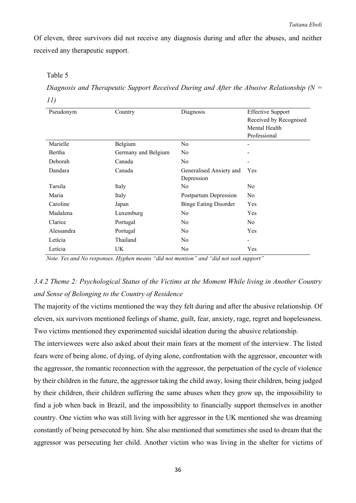Of eleven, three survivors did not receive any diagnosis during and after the abuses, and neither received any therapeutic support.

#### Table 5

*Diagnosis and Therapeutic Support Received During and After the Abusive Relationship (N = 11)*

| Pseudonym  | Country             | Diagnosis                    | <b>Effective Support</b>     |
|------------|---------------------|------------------------------|------------------------------|
|            |                     |                              | Received by Recognised       |
|            |                     |                              | Mental Health                |
|            |                     |                              | Professional                 |
| Marielle   | Belgium             | N <sub>o</sub>               |                              |
| Bertha     | Germany and Belgium | N <sub>0</sub>               |                              |
| Deborah    | Canada              | No                           |                              |
| Dandara    | Canada              | Generalised Anxiety and      | Yes                          |
|            |                     | Depression                   |                              |
| Tarsila    | Italy               | N <sub>0</sub>               | N <sub>0</sub>               |
| Maria      | Italy               | Postpartum Depression        | N <sub>0</sub>               |
| Caroline   | Japan               | <b>Binge Eating Disorder</b> | Yes                          |
| Madalena   | Luxemburg           | No                           | Yes                          |
| Clarice    | Portugal            | N <sub>0</sub>               | N <sub>o</sub>               |
| Alessandra | Portugal            | No                           | Yes                          |
| Letícia    | Thailand            | N <sub>0</sub>               | $\qquad \qquad \blacksquare$ |
| Letícia    | UK.                 | No                           | Yes                          |

*Note. Yes and No responses. Hyphen means "did not mention" and "did not seek support"* 

# *3.4.2 Theme 2: Psychological Status of the Victims at the Moment While living in Another Country and Sense of Belonging to the Country of Residence*

The majority of the victims mentioned the way they felt during and after the abusive relationship. Of eleven, six survivors mentioned feelings of shame, guilt, fear, anxiety, rage, regret and hopelessness. Two victims mentioned they experimented suicidal ideation during the abusive relationship.

The interviewees were also asked about their main fears at the moment of the interview. The listed fears were of being alone, of dying, of dying alone, confrontation with the aggressor, encounter with the aggressor, the romantic reconnection with the aggressor, the perpetuation of the cycle of violence by their children in the future, the aggressor taking the child away, losing their children, being judged by their children, their children suffering the same abuses when they grow up, the impossibility to find a job when back in Brazil, and the impossibility to financially support themselves in another country. One victim who was still living with her aggressor in the UK mentioned she was dreaming constantly of being persecuted by him. She also mentioned that sometimes she used to dream that the aggressor was persecuting her child. Another victim who was living in the shelter for victims of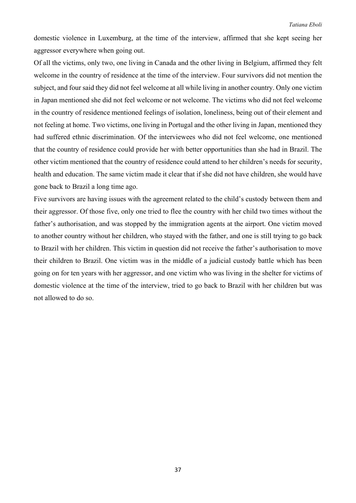#### *Tatiana Eboli*

domestic violence in Luxemburg, at the time of the interview, affirmed that she kept seeing her aggressor everywhere when going out.

Of all the victims, only two, one living in Canada and the other living in Belgium, affirmed they felt welcome in the country of residence at the time of the interview. Four survivors did not mention the subject, and four said they did not feel welcome at all while living in another country. Only one victim in Japan mentioned she did not feel welcome or not welcome. The victims who did not feel welcome in the country of residence mentioned feelings of isolation, loneliness, being out of their element and not feeling at home. Two victims, one living in Portugal and the other living in Japan, mentioned they had suffered ethnic discrimination. Of the interviewees who did not feel welcome, one mentioned that the country of residence could provide her with better opportunities than she had in Brazil. The other victim mentioned that the country of residence could attend to her children's needs for security, health and education. The same victim made it clear that if she did not have children, she would have gone back to Brazil a long time ago.

Five survivors are having issues with the agreement related to the child's custody between them and their aggressor. Of those five, only one tried to flee the country with her child two times without the father's authorisation, and was stopped by the immigration agents at the airport. One victim moved to another country without her children, who stayed with the father, and one is still trying to go back to Brazil with her children. This victim in question did not receive the father's authorisation to move their children to Brazil. One victim was in the middle of a judicial custody battle which has been going on for ten years with her aggressor, and one victim who was living in the shelter for victims of domestic violence at the time of the interview, tried to go back to Brazil with her children but was not allowed to do so.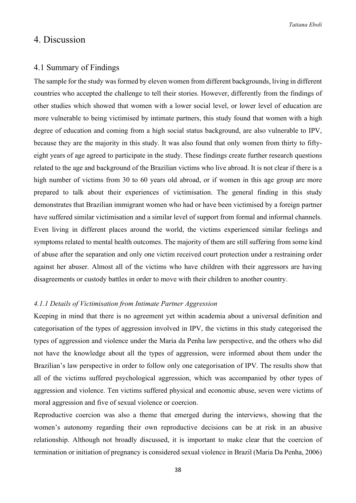# 4. Discussion

#### 4.1 Summary of Findings

The sample for the study was formed by eleven women from different backgrounds, living in different countries who accepted the challenge to tell their stories. However, differently from the findings of other studies which showed that women with a lower social level, or lower level of education are more vulnerable to being victimised by intimate partners, this study found that women with a high degree of education and coming from a high social status background, are also vulnerable to IPV, because they are the majority in this study. It was also found that only women from thirty to fiftyeight years of age agreed to participate in the study. These findings create further research questions related to the age and background of the Brazilian victims who live abroad. It is not clear if there is a high number of victims from 30 to 60 years old abroad, or if women in this age group are more prepared to talk about their experiences of victimisation. The general finding in this study demonstrates that Brazilian immigrant women who had or have been victimised by a foreign partner have suffered similar victimisation and a similar level of support from formal and informal channels. Even living in different places around the world, the victims experienced similar feelings and symptoms related to mental health outcomes. The majority of them are still suffering from some kind of abuse after the separation and only one victim received court protection under a restraining order against her abuser. Almost all of the victims who have children with their aggressors are having disagreements or custody battles in order to move with their children to another country.

#### *4.1.1 Details of Victimisation from Intimate Partner Aggression*

Keeping in mind that there is no agreement yet within academia about a universal definition and categorisation of the types of aggression involved in IPV, the victims in this study categorised the types of aggression and violence under the Maria da Penha law perspective, and the others who did not have the knowledge about all the types of aggression, were informed about them under the Brazilian's law perspective in order to follow only one categorisation of IPV. The results show that all of the victims suffered psychological aggression, which was accompanied by other types of aggression and violence. Ten victims suffered physical and economic abuse, seven were victims of moral aggression and five of sexual violence or coercion.

Reproductive coercion was also a theme that emerged during the interviews, showing that the women's autonomy regarding their own reproductive decisions can be at risk in an abusive relationship. Although not broadly discussed, it is important to make clear that the coercion of termination or initiation of pregnancy is considered sexual violence in Brazil (Maria Da Penha, 2006)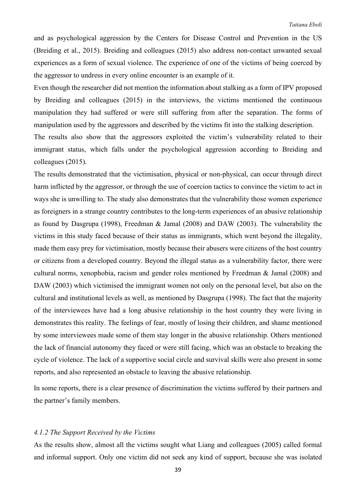and as psychological aggression by the Centers for Disease Control and Prevention in the US (Breiding et al., 2015). Breiding and colleagues (2015) also address non-contact unwanted sexual experiences as a form of sexual violence. The experience of one of the victims of being coerced by the aggressor to undress in every online encounter is an example of it.

Even though the researcher did not mention the information about stalking as a form of IPV proposed by Breiding and colleagues (2015) in the interviews, the victims mentioned the continuous manipulation they had suffered or were still suffering from after the separation. The forms of manipulation used by the aggressors and described by the victims fit into the stalking description.

The results also show that the aggressors exploited the victim's vulnerability related to their immigrant status, which falls under the psychological aggression according to Breiding and colleagues (2015).

The results demonstrated that the victimisation, physical or non-physical, can occur through direct harm inflicted by the aggressor, or through the use of coercion tactics to convince the victim to act in ways she is unwilling to. The study also demonstrates that the vulnerability those women experience as foreigners in a strange country contributes to the long-term experiences of an abusive relationship as found by Dasgrupa (1998), Freedman & Jamal (2008) and DAW (2003). The vulnerability the victims in this study faced because of their status as immigrants, which went beyond the illegality, made them easy prey for victimisation, mostly because their abusers were citizens of the host country or citizens from a developed country. Beyond the illegal status as a vulnerability factor, there were cultural norms, xenophobia, racism and gender roles mentioned by Freedman & Jamal (2008) and DAW (2003) which victimised the immigrant women not only on the personal level, but also on the cultural and institutional levels as well, as mentioned by Dasgrupa (1998). The fact that the majority of the interviewees have had a long abusive relationship in the host country they were living in demonstrates this reality. The feelings of fear, mostly of losing their children, and shame mentioned by some interviewees made some of them stay longer in the abusive relationship. Others mentioned the lack of financial autonomy they faced or were still facing, which was an obstacle to breaking the cycle of violence. The lack of a supportive social circle and survival skills were also present in some reports, and also represented an obstacle to leaving the abusive relationship.

In some reports, there is a clear presence of discrimination the victims suffered by their partners and the partner's family members.

#### *4.1.2 The Support Received by the Victims*

As the results show, almost all the victims sought what Liang and colleagues (2005) called formal and informal support. Only one victim did not seek any kind of support, because she was isolated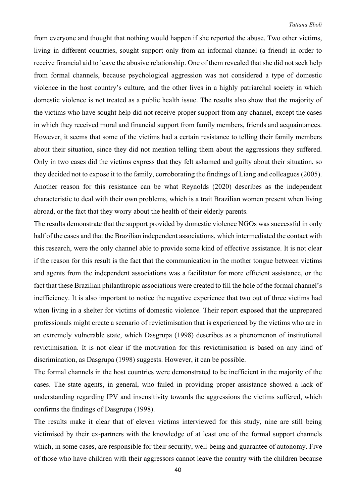from everyone and thought that nothing would happen if she reported the abuse. Two other victims, living in different countries, sought support only from an informal channel (a friend) in order to receive financial aid to leave the abusive relationship. One of them revealed that she did not seek help from formal channels, because psychological aggression was not considered a type of domestic violence in the host country's culture, and the other lives in a highly patriarchal society in which domestic violence is not treated as a public health issue. The results also show that the majority of the victims who have sought help did not receive proper support from any channel, except the cases in which they received moral and financial support from family members, friends and acquaintances. However, it seems that some of the victims had a certain resistance to telling their family members about their situation, since they did not mention telling them about the aggressions they suffered. Only in two cases did the victims express that they felt ashamed and guilty about their situation, so they decided not to expose it to the family, corroborating the findings of Liang and colleagues (2005). Another reason for this resistance can be what Reynolds (2020) describes as the independent characteristic to deal with their own problems, which is a trait Brazilian women present when living abroad, or the fact that they worry about the health of their elderly parents.

The results demonstrate that the support provided by domestic violence NGOs was successful in only half of the cases and that the Brazilian independent associations, which intermediated the contact with this research, were the only channel able to provide some kind of effective assistance. It is not clear if the reason for this result is the fact that the communication in the mother tongue between victims and agents from the independent associations was a facilitator for more efficient assistance, or the fact that these Brazilian philanthropic associations were created to fill the hole of the formal channel's inefficiency. It is also important to notice the negative experience that two out of three victims had when living in a shelter for victims of domestic violence. Their report exposed that the unprepared professionals might create a scenario of revictimisation that is experienced by the victims who are in an extremely vulnerable state, which Dasgrupa (1998) describes as a phenomenon of institutional revictimisation. It is not clear if the motivation for this revictimisation is based on any kind of discrimination, as Dasgrupa (1998) suggests. However, it can be possible.

The formal channels in the host countries were demonstrated to be inefficient in the majority of the cases. The state agents, in general, who failed in providing proper assistance showed a lack of understanding regarding IPV and insensitivity towards the aggressions the victims suffered, which confirms the findings of Dasgrupa (1998).

The results make it clear that of eleven victims interviewed for this study, nine are still being victimised by their ex-partners with the knowledge of at least one of the formal support channels which, in some cases, are responsible for their security, well-being and guarantee of autonomy. Five of those who have children with their aggressors cannot leave the country with the children because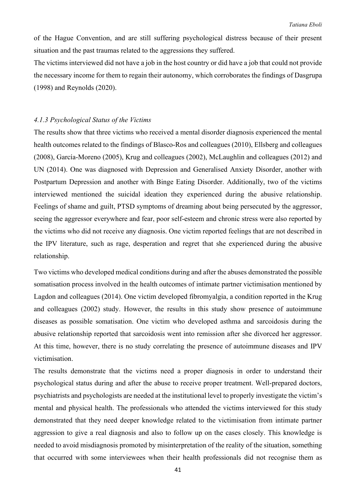of the Hague Convention, and are still suffering psychological distress because of their present situation and the past traumas related to the aggressions they suffered.

The victims interviewed did not have a job in the host country or did have a job that could not provide the necessary income for them to regain their autonomy, which corroborates the findings of Dasgrupa (1998) and Reynolds (2020).

#### *4.1.3 Psychological Status of the Victims*

The results show that three victims who received a mental disorder diagnosis experienced the mental health outcomes related to the findings of Blasco-Ros and colleagues (2010), Ellsberg and colleagues (2008), García-Moreno (2005), Krug and colleagues (2002), McLaughlin and colleagues (2012) and UN (2014). One was diagnosed with Depression and Generalised Anxiety Disorder, another with Postpartum Depression and another with Binge Eating Disorder. Additionally, two of the victims interviewed mentioned the suicidal ideation they experienced during the abusive relationship. Feelings of shame and guilt, PTSD symptoms of dreaming about being persecuted by the aggressor, seeing the aggressor everywhere and fear, poor self-esteem and chronic stress were also reported by the victims who did not receive any diagnosis. One victim reported feelings that are not described in the IPV literature, such as rage, desperation and regret that she experienced during the abusive relationship.

Two victims who developed medical conditions during and after the abuses demonstrated the possible somatisation process involved in the health outcomes of intimate partner victimisation mentioned by Lagdon and colleagues (2014). One victim developed fibromyalgia, a condition reported in the Krug and colleagues (2002) study. However, the results in this study show presence of autoimmune diseases as possible somatisation. One victim who developed asthma and sarcoidosis during the abusive relationship reported that sarcoidosis went into remission after she divorced her aggressor. At this time, however, there is no study correlating the presence of autoimmune diseases and IPV victimisation.

The results demonstrate that the victims need a proper diagnosis in order to understand their psychological status during and after the abuse to receive proper treatment. Well-prepared doctors, psychiatrists and psychologists are needed at the institutional level to properly investigate the victim's mental and physical health. The professionals who attended the victims interviewed for this study demonstrated that they need deeper knowledge related to the victimisation from intimate partner aggression to give a real diagnosis and also to follow up on the cases closely. This knowledge is needed to avoid misdiagnosis promoted by misinterpretation of the reality of the situation, something that occurred with some interviewees when their health professionals did not recognise them as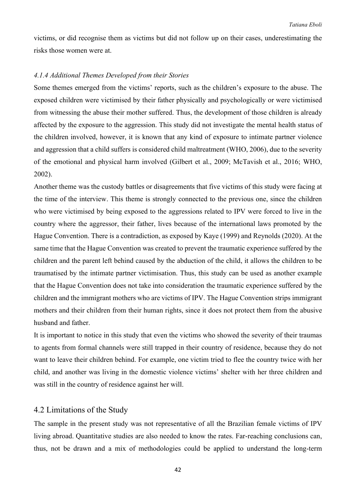victims, or did recognise them as victims but did not follow up on their cases, underestimating the risks those women were at.

#### *4.1.4 Additional Themes Developed from their Stories*

Some themes emerged from the victims' reports, such as the children's exposure to the abuse. The exposed children were victimised by their father physically and psychologically or were victimised from witnessing the abuse their mother suffered. Thus, the development of those children is already affected by the exposure to the aggression. This study did not investigate the mental health status of the children involved, however, it is known that any kind of exposure to intimate partner violence and aggression that a child suffers is considered child maltreatment (WHO, 2006), due to the severity of the emotional and physical harm involved (Gilbert et al., 2009; McTavish et al., 2016; WHO, 2002).

Another theme was the custody battles or disagreements that five victims of this study were facing at the time of the interview. This theme is strongly connected to the previous one, since the children who were victimised by being exposed to the aggressions related to IPV were forced to live in the country where the aggressor, their father, lives because of the international laws promoted by the Hague Convention. There is a contradiction, as exposed by Kaye (1999) and Reynolds (2020). At the same time that the Hague Convention was created to prevent the traumatic experience suffered by the children and the parent left behind caused by the abduction of the child, it allows the children to be traumatised by the intimate partner victimisation. Thus, this study can be used as another example that the Hague Convention does not take into consideration the traumatic experience suffered by the children and the immigrant mothers who are victims of IPV. The Hague Convention strips immigrant mothers and their children from their human rights, since it does not protect them from the abusive husband and father.

It is important to notice in this study that even the victims who showed the severity of their traumas to agents from formal channels were still trapped in their country of residence, because they do not want to leave their children behind. For example, one victim tried to flee the country twice with her child, and another was living in the domestic violence victims' shelter with her three children and was still in the country of residence against her will.

# 4.2 Limitations of the Study

The sample in the present study was not representative of all the Brazilian female victims of IPV living abroad. Quantitative studies are also needed to know the rates. Far-reaching conclusions can, thus, not be drawn and a mix of methodologies could be applied to understand the long-term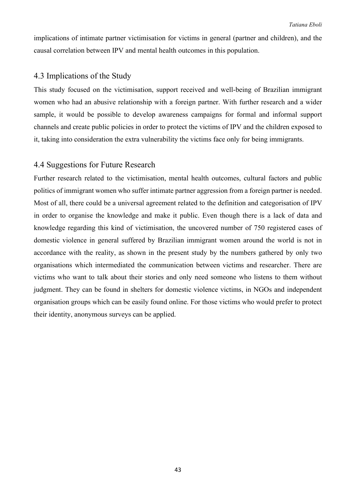implications of intimate partner victimisation for victims in general (partner and children), and the causal correlation between IPV and mental health outcomes in this population.

# 4.3 Implications of the Study

This study focused on the victimisation, support received and well-being of Brazilian immigrant women who had an abusive relationship with a foreign partner. With further research and a wider sample, it would be possible to develop awareness campaigns for formal and informal support channels and create public policies in order to protect the victims of IPV and the children exposed to it, taking into consideration the extra vulnerability the victims face only for being immigrants.

### 4.4 Suggestions for Future Research

Further research related to the victimisation, mental health outcomes, cultural factors and public politics of immigrant women who suffer intimate partner aggression from a foreign partner is needed. Most of all, there could be a universal agreement related to the definition and categorisation of IPV in order to organise the knowledge and make it public. Even though there is a lack of data and knowledge regarding this kind of victimisation, the uncovered number of 750 registered cases of domestic violence in general suffered by Brazilian immigrant women around the world is not in accordance with the reality, as shown in the present study by the numbers gathered by only two organisations which intermediated the communication between victims and researcher. There are victims who want to talk about their stories and only need someone who listens to them without judgment. They can be found in shelters for domestic violence victims, in NGOs and independent organisation groups which can be easily found online. For those victims who would prefer to protect their identity, anonymous surveys can be applied.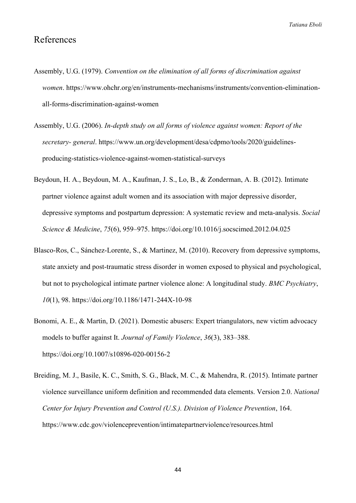# References

- Assembly, U.G. (1979). *Convention on the elimination of all forms of discrimination against women*. [https://www.ohchr.org/en/instruments-mechanisms/instruments/convention-elimination](https://www.ohchr.org/en/instruments-mechanisms/instruments/convention-elimination-all-forms-discrimination-against-women)[all-forms-discrimination-against-women](https://www.ohchr.org/en/instruments-mechanisms/instruments/convention-elimination-all-forms-discrimination-against-women)
- Assembly, U.G. (2006). *In-depth study on all forms of violence against women: Report of the secretary- general*. [https://www.un.org/development/desa/cdpmo/tools/2020/guidelines](https://www.un.org/development/desa/cdpmo/tools/2020/guidelines-producing-statistics-violence-against-women-statistical-surveys)[producing-statistics-violence-against-women-statistical-surveys](https://www.un.org/development/desa/cdpmo/tools/2020/guidelines-producing-statistics-violence-against-women-statistical-surveys)
- Beydoun, H. A., Beydoun, M. A., Kaufman, J. S., Lo, B., & Zonderman, A. B. (2012). Intimate partner violence against adult women and its association with major depressive disorder, depressive symptoms and postpartum depression: A systematic review and meta-analysis. *Social Science & Medicine*, *75*(6), 959–975.<https://doi.org/10.1016/j.socscimed.2012.04.025>
- Blasco-Ros, C., Sánchez-Lorente, S., & Martinez, M. (2010). Recovery from depressive symptoms, state anxiety and post-traumatic stress disorder in women exposed to physical and psychological, but not to psychological intimate partner violence alone: A longitudinal study. *BMC Psychiatry*, *10*(1), 98.<https://doi.org/10.1186/1471-244X-10-98>
- Bonomi, A. E., & Martin, D. (2021). Domestic abusers: Expert triangulators, new victim advocacy models to buffer against It. *Journal of Family Violence*, *36*(3), 383–388. <https://doi.org/10.1007/s10896-020-00156-2>
- Breiding, M. J., Basile, K. C., Smith, S. G., Black, M. C., & Mahendra, R. (2015). Intimate partner violence surveillance uniform definition and recommended data elements. Version 2.0. *National Center for Injury Prevention and Control (U.S.). Division of Violence Prevention*, 164. <https://www.cdc.gov/violenceprevention/intimatepartnerviolence/resources.html>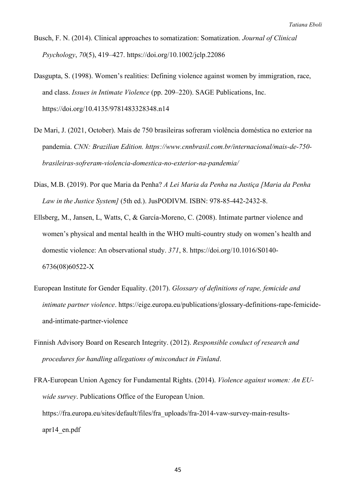- Busch, F. N. (2014). Clinical approaches to somatization: Somatization. *Journal of Clinical Psychology*, *70*(5), 419–427.<https://doi.org/10.1002/jclp.22086>
- Dasgupta, S. (1998). Women's realities: Defining violence against women by immigration, race, and class. *Issues in Intimate Violence* (pp. 209–220). SAGE Publications, Inc. <https://doi.org/10.4135/9781483328348.n14>
- De Mari, J. (2021, October). Mais de 750 brasileiras sofreram violência doméstica no exterior na pandemia. *CNN: Brazilian Edition. https://www.cnnbrasil.com.br/internacional/mais-de-750 brasileiras-sofreram-violencia-domestica-no-exterior-na-pandemia/*
- Dias, M.B. (2019). Por que Maria da Penha? *A Lei Maria da Penha na Justiça [Maria da Penha Law in the Justice System]* (5th ed.). JusPODIVM. ISBN: 978-85-442-2432-8.
- Ellsberg, M., Jansen, L, Watts, C, & García-Moreno, C. (2008). Intimate partner violence and women's physical and mental health in the WHO multi-country study on women's health and domestic violence: An observational study. *371*, 8. https://doi.org/10.1016/S0140- 6736(08)60522-X
- European Institute for Gender Equality. (2017). *Glossary of definitions of rape, femicide and intimate partner violence*. https://eige.europa.eu/publications/glossary-definitions-rape-femicideand-intimate-partner-violence
- Finnish Advisory Board on Research Integrity. (2012). *Responsible conduct of research and procedures for handling allegations of misconduct in Finland*.
- FRA-European Union Agency for Fundamental Rights. (2014). *Violence against women: An EUwide survey*. Publications Office of the European Union. [https://fra.europa.eu/sites/default/files/fra\\_uploads/fra-2014-vaw-survey-main-results](https://fra.europa.eu/sites/default/files/fra_uploads/fra-2014-vaw-survey-main-results-apr14_en.pdf)[apr14\\_en.pdf](https://fra.europa.eu/sites/default/files/fra_uploads/fra-2014-vaw-survey-main-results-apr14_en.pdf)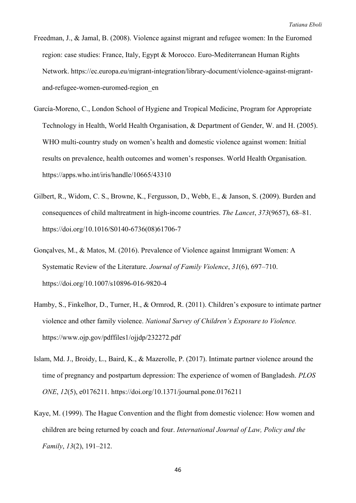- Freedman, J., & Jamal, B. (2008). Violence against migrant and refugee women: In the Euromed region: case studies: France, Italy, Egypt & Morocco. Euro-Mediterranean Human Rights Network. [https://ec.europa.eu/migrant-integration/library-document/violence-against-migrant](https://ec.europa.eu/migrant-integration/library-document/violence-against-migrant-and-refugee-women-euromed-region_en)[and-refugee-women-euromed-region\\_en](https://ec.europa.eu/migrant-integration/library-document/violence-against-migrant-and-refugee-women-euromed-region_en)
- García-Moreno, C., London School of Hygiene and Tropical Medicine, Program for Appropriate Technology in Health, World Health Organisation, & Department of Gender, W. and H. (2005). WHO multi-country study on women's health and domestic violence against women: Initial results on prevalence, health outcomes and women's responses. World Health Organisation. <https://apps.who.int/iris/handle/10665/43310>
- Gilbert, R., Widom, C. S., Browne, K., Fergusson, D., Webb, E., & Janson, S. (2009). Burden and consequences of child maltreatment in high-income countries. *The Lancet*, *373*(9657), 68–81. [https://doi.org/10.1016/S0140-6736\(08\)61706-7](https://doi.org/10.1016/S0140-6736(08)61706-7)
- Gonçalves, M., & Matos, M. (2016). Prevalence of Violence against Immigrant Women: A Systematic Review of the Literature. *Journal of Family Violence*, *31*(6), 697–710. <https://doi.org/10.1007/s10896-016-9820-4>
- Hamby, S., Finkelhor, D., Turner, H., & Ormrod, R. (2011). Children's exposure to intimate partner violence and other family violence. *National Survey of Children's Exposure to Violence.* <https://www.ojp.gov/pdffiles1/ojjdp/232272.pdf>
- Islam, Md. J., Broidy, L., Baird, K., & Mazerolle, P. (2017). Intimate partner violence around the time of pregnancy and postpartum depression: The experience of women of Bangladesh. *PLOS ONE*, *12*(5), e0176211.<https://doi.org/10.1371/journal.pone.0176211>
- Kaye, M. (1999). The Hague Convention and the flight from domestic violence: How women and children are being returned by coach and four. *International Journal of Law, Policy and the Family*, *13*(2), 191–212.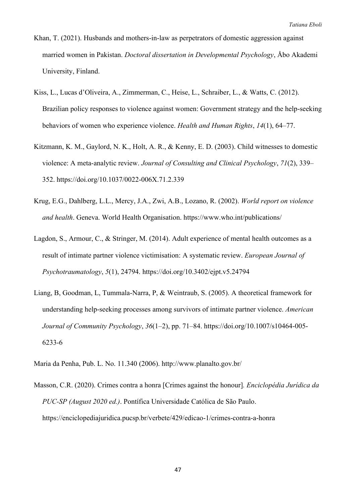- Khan, T. (2021). Husbands and mothers-in-law as perpetrators of domestic aggression against married women in Pakistan. *Doctoral dissertation in Developmental Psychology*, Åbo Akademi University, Finland.
- Kiss, L., Lucas d'Oliveira, A., Zimmerman, C., Heise, L., Schraiber, L., & Watts, C. (2012). Brazilian policy responses to violence against women: Government strategy and the help-seeking behaviors of women who experience violence. *Health and Human Rights*, *14*(1), 64–77.
- Kitzmann, K. M., Gaylord, N. K., Holt, A. R., & Kenny, E. D. (2003). Child witnesses to domestic violence: A meta-analytic review. *Journal of Consulting and Clinical Psychology*, *71*(2), 339– 352.<https://doi.org/10.1037/0022-006X.71.2.339>
- Krug, E.G., Dahlberg, L.L., Mercy, J.A., Zwi, A.B., Lozano, R. (2002). *World report on violence and health*. Geneva. World Health Organisation.<https://www.who.int/publications/>
- Lagdon, S., Armour, C., & Stringer, M. (2014). Adult experience of mental health outcomes as a result of intimate partner violence victimisation: A systematic review. *European Journal of Psychotraumatology*, *5*(1), 24794.<https://doi.org/10.3402/ejpt.v5.24794>
- Liang, B, Goodman, L, Tummala-Narra, P, & Weintraub, S. (2005). A theoretical framework for understanding help‐seeking processes among survivors of intimate partner violence. *American Journal of Community Psychology*, *36*(1–2), pp. 71–84. [https://doi.org/10.1007/s10464-005-](https://doi.org/10.1007/s10464-005-6233-6) [6233-6](https://doi.org/10.1007/s10464-005-6233-6)

Maria da Penha, Pub. L. No. 11.340 (2006).<http://www.planalto.gov.br/>

Masson, C.R. (2020). Crimes contra a honra [Crimes against the honour]*. Enciclopédia Jurídica da PUC-SP (August 2020 ed.)*. Pontífica Universidade Católica de São Paulo. https://enciclopediajuridica.pucsp.br/verbete/429/edicao-1/crimes-contra-a-honra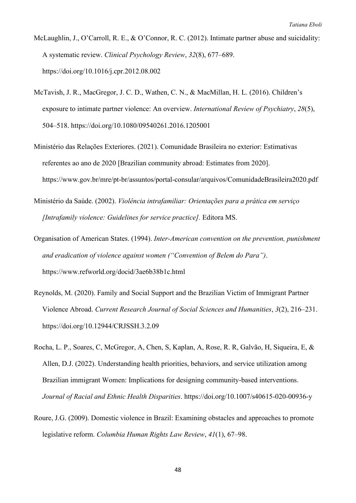McLaughlin, J., O'Carroll, R. E., & O'Connor, R. C. (2012). Intimate partner abuse and suicidality: A systematic review. *Clinical Psychology Review*, *32*(8), 677–689. <https://doi.org/10.1016/j.cpr.2012.08.002>

- McTavish, J. R., MacGregor, J. C. D., Wathen, C. N., & MacMillan, H. L. (2016). Children's exposure to intimate partner violence: An overview. *International Review of Psychiatry*, *28*(5), 504–518.<https://doi.org/10.1080/09540261.2016.1205001>
- Ministério das Relações Exteriores. (2021). Comunidade Brasileira no exterior: Estimativas referentes ao ano de 2020 [Brazilian community abroad: Estimates from 2020]. https://www.gov.br/mre/pt-br/assuntos/portal-consular/arquivos/ComunidadeBrasileira2020.pdf
- Ministério da Saúde. (2002). *Violência intrafamiliar: Orientações para a prática em serviço [Intrafamily violence: Guidelines for service practice].* Editora MS.
- Organisation of American States. (1994). *Inter-American convention on the prevention, punishment and eradication of violence against women ("Convention of Belem do Para")*. <https://www.refworld.org/docid/3ae6b38b1c.html>
- Reynolds, M. (2020). Family and Social Support and the Brazilian Victim of Immigrant Partner Violence Abroad. *Current Research Journal of Social Sciences and Humanities*, *3*(2), 216–231. <https://doi.org/10.12944/CRJSSH.3.2.09>
- Rocha, L. P., Soares, C, McGregor, A, Chen, S, Kaplan, A, Rose, R. R, Galvão, H, Siqueira, E, & Allen, D.J. (2022). Understanding health priorities, behaviors, and service utilization among Brazilian immigrant Women: Implications for designing community-based interventions. *Journal of Racial and Ethnic Health Disparities*.<https://doi.org/10.1007/s40615-020-00936-y>
- Roure, J.G. (2009). Domestic violence in Brazil: Examining obstacles and approaches to promote legislative reform. *Columbia Human Rights Law Review*, *41*(1), 67–98.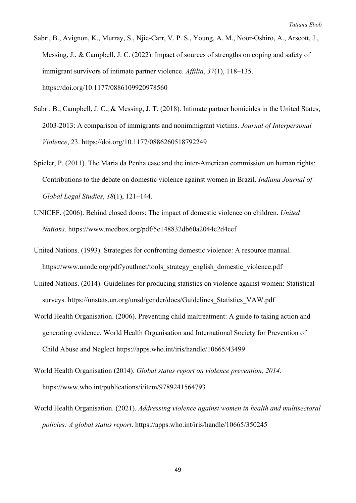- Sabri, B., Avignon, K., Murray, S., Njie-Carr, V. P. S., Young, A. M., Noor-Oshiro, A., Arscott, J., Messing, J., & Campbell, J. C. (2022). Impact of sources of strengths on coping and safety of immigrant survivors of intimate partner violence. *Affilia*, *37*(1), 118–135. <https://doi.org/10.1177/0886109920978560>
- Sabri, B., Campbell, J. C., & Messing, J. T. (2018). Intimate partner homicides in the United States, 2003-2013: A comparison of immigrants and nonimmigrant victims. *Journal of Interpersonal Violence*, 23. <https://doi.org/10.1177/0886260518792249>
- Spieler, P. (2011). The Maria da Penha case and the inter-American commission on human rights: Contributions to the debate on domestic violence against women in Brazil. *Indiana Journal of Global Legal Studies*, *18*(1), 121–144.
- UNICEF. (2006). Behind closed doors: The impact of domestic violence on children. *United Nations*.<https://www.medbox.org/pdf/5e148832db60a2044c2d4cef>
- United Nations. (1993). Strategies for confronting domestic violence: A resource manual. [https://www.unodc.org/pdf/youthnet/tools\\_strategy\\_english\\_domestic\\_violence.pdf](https://www.unodc.org/pdf/youthnet/tools_strategy_english_domestic_violence.pdf)
- United Nations. (2014). Guidelines for producing statistics on violence against women: Statistical surveys. [https://unstats.un.org/unsd/gender/docs/Guidelines\\_Statistics\\_VAW.pdf](https://unstats.un.org/unsd/gender/docs/Guidelines_Statistics_VAW.pdf)
- World Health Organisation. (2006). Preventing child maltreatment: A guide to taking action and generating evidence. World Health Organisation and International Society for Prevention of Child Abuse and Neglect <https://apps.who.int/iris/handle/10665/43499>
- World Health Organisation (2014). *Global status report on violence prevention, 2014*. <https://www.who.int/publications/i/item/9789241564793>
- World Health Organisation. (2021). *Addressing violence against women in health and multisectoral policies: A global status report*.<https://apps.who.int/iris/handle/10665/350245>